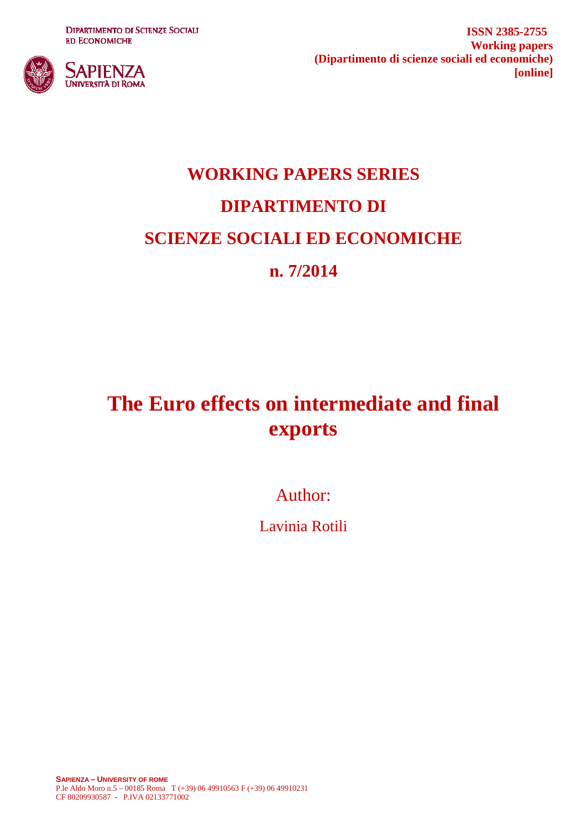**DIPARTIMENTO DI SCIENZE SOCIALI ED ECONOMICHE** 



**ISSN 2385-2755 Working papers (Dipartimento di scienze sociali ed economiche) [online]**

# **WORKING PAPERS SERIES DIPARTIMENTO DI SCIENZE SOCIALI ED ECONOMICHE n. 7/2014**

# **The Euro effects on intermediate and final exports**

Author:

Lavinia Rotili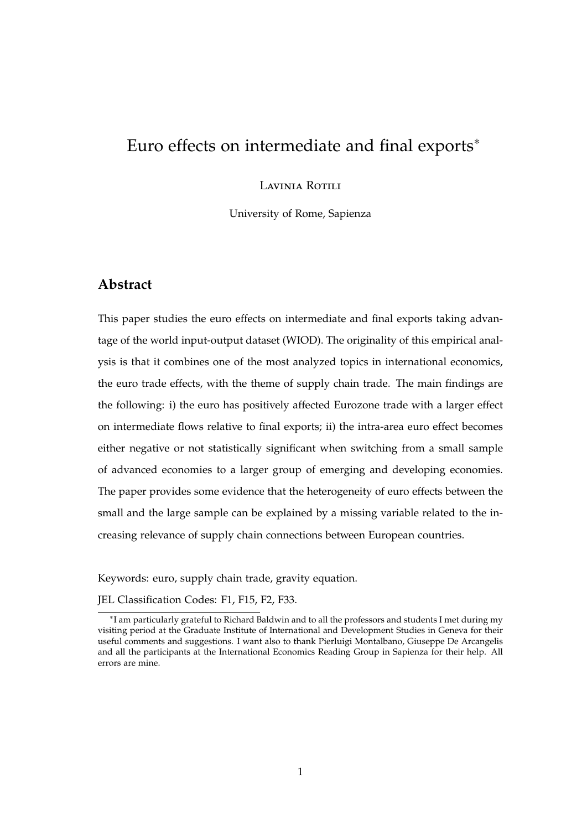## Euro effects on intermediate and final exports<sup>∗</sup>

Lavinia Rotili

University of Rome, Sapienza

#### **Abstract**

This paper studies the euro effects on intermediate and final exports taking advantage of the world input-output dataset (WIOD). The originality of this empirical analysis is that it combines one of the most analyzed topics in international economics, the euro trade effects, with the theme of supply chain trade. The main findings are the following: i) the euro has positively affected Eurozone trade with a larger effect on intermediate flows relative to final exports; ii) the intra-area euro effect becomes either negative or not statistically significant when switching from a small sample of advanced economies to a larger group of emerging and developing economies. The paper provides some evidence that the heterogeneity of euro effects between the small and the large sample can be explained by a missing variable related to the increasing relevance of supply chain connections between European countries.

Keywords: euro, supply chain trade, gravity equation.

JEL Classification Codes: F1, F15, F2, F33.

<sup>∗</sup> I am particularly grateful to Richard Baldwin and to all the professors and students I met during my visiting period at the Graduate Institute of International and Development Studies in Geneva for their useful comments and suggestions. I want also to thank Pierluigi Montalbano, Giuseppe De Arcangelis and all the participants at the International Economics Reading Group in Sapienza for their help. All errors are mine.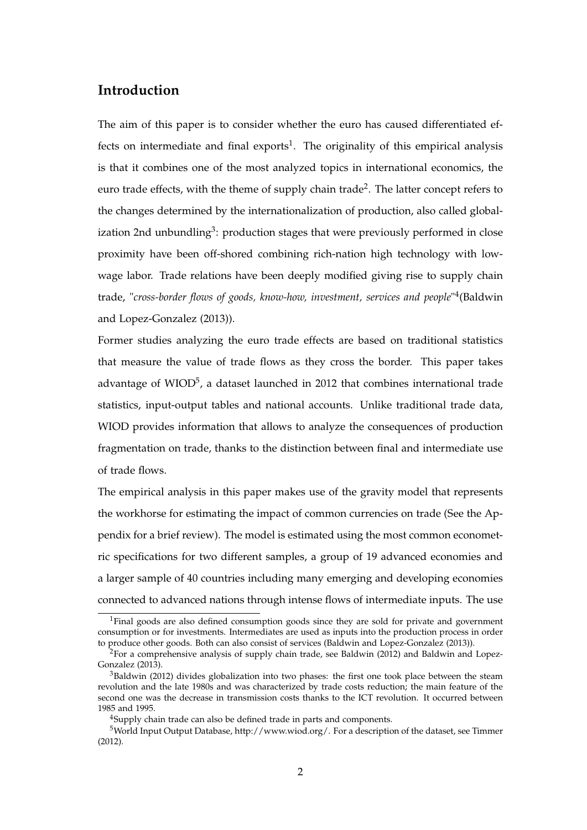#### **Introduction**

The aim of this paper is to consider whether the euro has caused differentiated effects on intermediate and final exports<sup>1</sup>. The originality of this empirical analysis is that it combines one of the most analyzed topics in international economics, the euro trade effects, with the theme of supply chain trade<sup>2</sup>. The latter concept refers to the changes determined by the internationalization of production, also called globalization 2nd unbundling<sup>3</sup>: production stages that were previously performed in close proximity have been off-shored combining rich-nation high technology with lowwage labor. Trade relations have been deeply modified giving rise to supply chain trade, "*cross-border flows of goods, know-how, investment, services and people*" 4 (Baldwin and Lopez-Gonzalez (2013)).

Former studies analyzing the euro trade effects are based on traditional statistics that measure the value of trade flows as they cross the border. This paper takes advantage of WIOD<sup>5</sup>, a dataset launched in 2012 that combines international trade statistics, input-output tables and national accounts. Unlike traditional trade data, WIOD provides information that allows to analyze the consequences of production fragmentation on trade, thanks to the distinction between final and intermediate use of trade flows.

The empirical analysis in this paper makes use of the gravity model that represents the workhorse for estimating the impact of common currencies on trade (See the Appendix for a brief review). The model is estimated using the most common econometric specifications for two different samples, a group of 19 advanced economies and a larger sample of 40 countries including many emerging and developing economies connected to advanced nations through intense flows of intermediate inputs. The use

<sup>&</sup>lt;sup>1</sup>Final goods are also defined consumption goods since they are sold for private and government consumption or for investments. Intermediates are used as inputs into the production process in order to produce other goods. Both can also consist of services (Baldwin and Lopez-Gonzalez (2013)).

 $2$ For a comprehensive analysis of supply chain trade, see Baldwin (2012) and Baldwin and Lopez-Gonzalez (2013).

 $3$ Baldwin (2012) divides globalization into two phases: the first one took place between the steam revolution and the late 1980s and was characterized by trade costs reduction; the main feature of the second one was the decrease in transmission costs thanks to the ICT revolution. It occurred between 1985 and 1995.

<sup>4</sup>Supply chain trade can also be defined trade in parts and components.

<sup>5</sup>World Input Output Database, http://www.wiod.org/. For a description of the dataset, see Timmer (2012).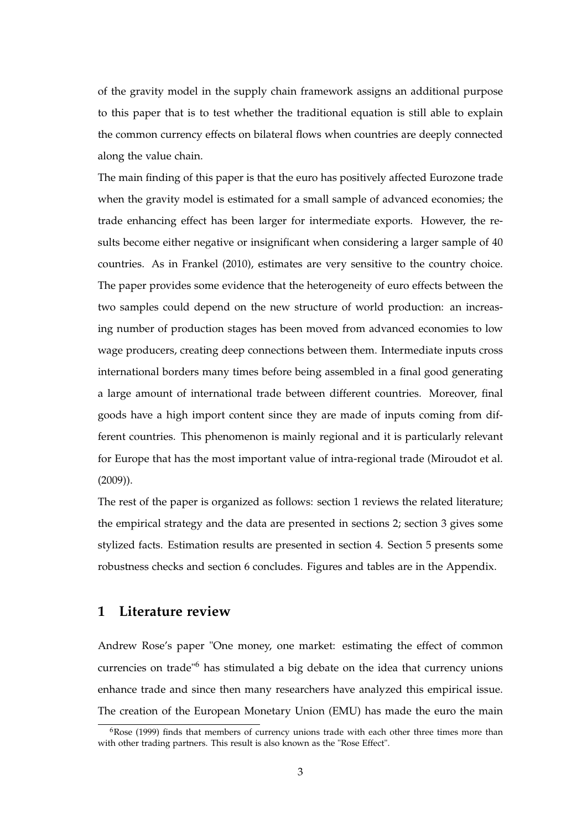of the gravity model in the supply chain framework assigns an additional purpose to this paper that is to test whether the traditional equation is still able to explain the common currency effects on bilateral flows when countries are deeply connected along the value chain.

The main finding of this paper is that the euro has positively affected Eurozone trade when the gravity model is estimated for a small sample of advanced economies; the trade enhancing effect has been larger for intermediate exports. However, the results become either negative or insignificant when considering a larger sample of 40 countries. As in Frankel (2010), estimates are very sensitive to the country choice. The paper provides some evidence that the heterogeneity of euro effects between the two samples could depend on the new structure of world production: an increasing number of production stages has been moved from advanced economies to low wage producers, creating deep connections between them. Intermediate inputs cross international borders many times before being assembled in a final good generating a large amount of international trade between different countries. Moreover, final goods have a high import content since they are made of inputs coming from different countries. This phenomenon is mainly regional and it is particularly relevant for Europe that has the most important value of intra-regional trade (Miroudot et al. (2009)).

The rest of the paper is organized as follows: section 1 reviews the related literature; the empirical strategy and the data are presented in sections 2; section 3 gives some stylized facts. Estimation results are presented in section 4. Section 5 presents some robustness checks and section 6 concludes. Figures and tables are in the Appendix.

#### **1 Literature review**

Andrew Rose's paper "One money, one market: estimating the effect of common currencies on trade"<sup>6</sup> has stimulated a big debate on the idea that currency unions enhance trade and since then many researchers have analyzed this empirical issue. The creation of the European Monetary Union (EMU) has made the euro the main

 $6Rose$  (1999) finds that members of currency unions trade with each other three times more than with other trading partners. This result is also known as the "Rose Effect".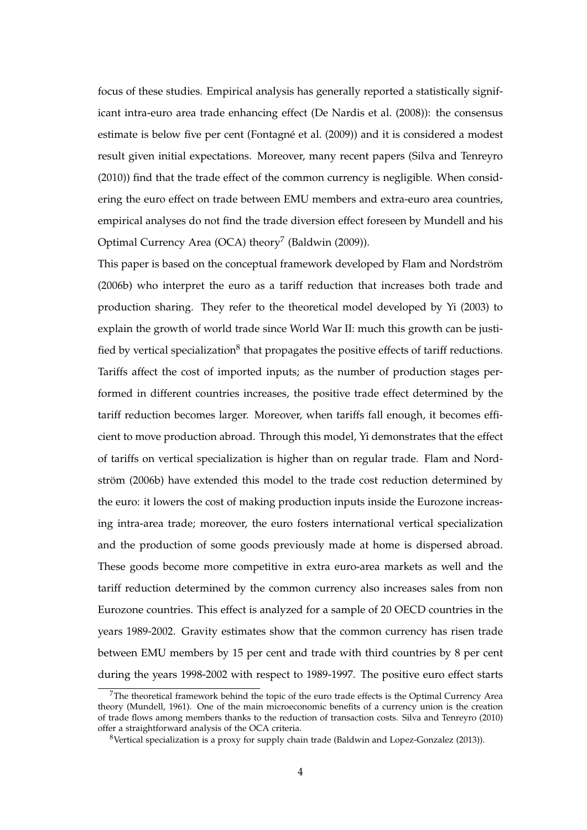focus of these studies. Empirical analysis has generally reported a statistically significant intra-euro area trade enhancing effect (De Nardis et al. (2008)): the consensus estimate is below five per cent (Fontagné et al. (2009)) and it is considered a modest result given initial expectations. Moreover, many recent papers (Silva and Tenreyro (2010)) find that the trade effect of the common currency is negligible. When considering the euro effect on trade between EMU members and extra-euro area countries, empirical analyses do not find the trade diversion effect foreseen by Mundell and his Optimal Currency Area (OCA) theory<sup>7</sup> (Baldwin (2009)).

This paper is based on the conceptual framework developed by Flam and Nordström (2006b) who interpret the euro as a tariff reduction that increases both trade and production sharing. They refer to the theoretical model developed by Yi (2003) to explain the growth of world trade since World War II: much this growth can be justified by vertical specialization $^8$  that propagates the positive effects of tariff reductions. Tariffs affect the cost of imported inputs; as the number of production stages performed in different countries increases, the positive trade effect determined by the tariff reduction becomes larger. Moreover, when tariffs fall enough, it becomes efficient to move production abroad. Through this model, Yi demonstrates that the effect of tariffs on vertical specialization is higher than on regular trade. Flam and Nordström (2006b) have extended this model to the trade cost reduction determined by the euro: it lowers the cost of making production inputs inside the Eurozone increasing intra-area trade; moreover, the euro fosters international vertical specialization and the production of some goods previously made at home is dispersed abroad. These goods become more competitive in extra euro-area markets as well and the tariff reduction determined by the common currency also increases sales from non Eurozone countries. This effect is analyzed for a sample of 20 OECD countries in the years 1989-2002. Gravity estimates show that the common currency has risen trade between EMU members by 15 per cent and trade with third countries by 8 per cent during the years 1998-2002 with respect to 1989-1997. The positive euro effect starts

<sup>&</sup>lt;sup>7</sup>The theoretical framework behind the topic of the euro trade effects is the Optimal Currency Area theory (Mundell, 1961). One of the main microeconomic benefits of a currency union is the creation of trade flows among members thanks to the reduction of transaction costs. Silva and Tenreyro (2010) offer a straightforward analysis of the OCA criteria.

<sup>8</sup>Vertical specialization is a proxy for supply chain trade (Baldwin and Lopez-Gonzalez (2013)).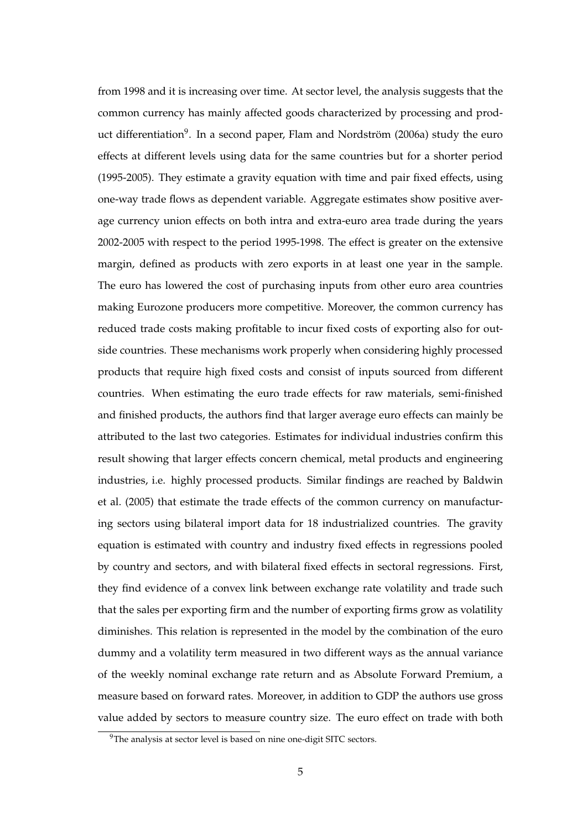from 1998 and it is increasing over time. At sector level, the analysis suggests that the common currency has mainly affected goods characterized by processing and product differentiation<sup>9</sup>. In a second paper, Flam and Nordström (2006a) study the euro effects at different levels using data for the same countries but for a shorter period (1995-2005). They estimate a gravity equation with time and pair fixed effects, using one-way trade flows as dependent variable. Aggregate estimates show positive average currency union effects on both intra and extra-euro area trade during the years 2002-2005 with respect to the period 1995-1998. The effect is greater on the extensive margin, defined as products with zero exports in at least one year in the sample. The euro has lowered the cost of purchasing inputs from other euro area countries making Eurozone producers more competitive. Moreover, the common currency has reduced trade costs making profitable to incur fixed costs of exporting also for outside countries. These mechanisms work properly when considering highly processed products that require high fixed costs and consist of inputs sourced from different countries. When estimating the euro trade effects for raw materials, semi-finished and finished products, the authors find that larger average euro effects can mainly be attributed to the last two categories. Estimates for individual industries confirm this result showing that larger effects concern chemical, metal products and engineering industries, i.e. highly processed products. Similar findings are reached by Baldwin et al. (2005) that estimate the trade effects of the common currency on manufacturing sectors using bilateral import data for 18 industrialized countries. The gravity equation is estimated with country and industry fixed effects in regressions pooled by country and sectors, and with bilateral fixed effects in sectoral regressions. First, they find evidence of a convex link between exchange rate volatility and trade such that the sales per exporting firm and the number of exporting firms grow as volatility diminishes. This relation is represented in the model by the combination of the euro dummy and a volatility term measured in two different ways as the annual variance of the weekly nominal exchange rate return and as Absolute Forward Premium, a measure based on forward rates. Moreover, in addition to GDP the authors use gross value added by sectors to measure country size. The euro effect on trade with both

<sup>&</sup>lt;sup>9</sup>The analysis at sector level is based on nine one-digit SITC sectors.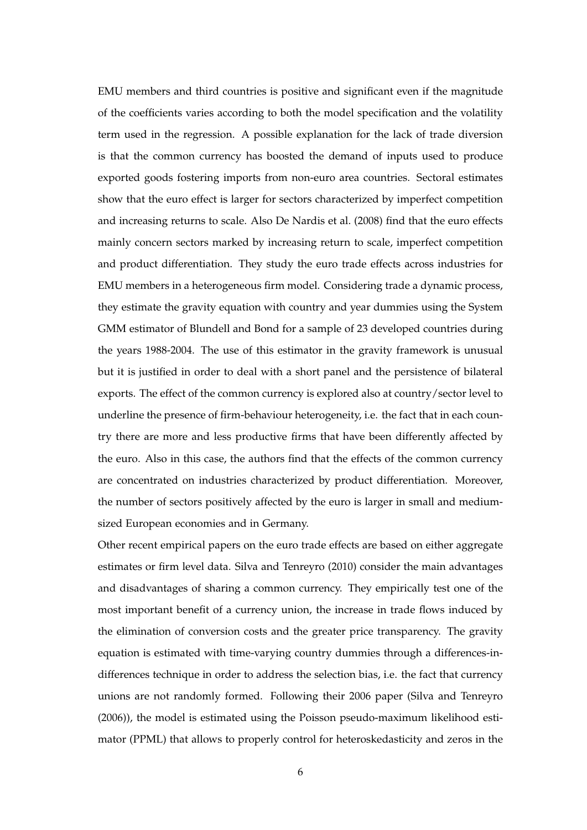EMU members and third countries is positive and significant even if the magnitude of the coefficients varies according to both the model specification and the volatility term used in the regression. A possible explanation for the lack of trade diversion is that the common currency has boosted the demand of inputs used to produce exported goods fostering imports from non-euro area countries. Sectoral estimates show that the euro effect is larger for sectors characterized by imperfect competition and increasing returns to scale. Also De Nardis et al. (2008) find that the euro effects mainly concern sectors marked by increasing return to scale, imperfect competition and product differentiation. They study the euro trade effects across industries for EMU members in a heterogeneous firm model. Considering trade a dynamic process, they estimate the gravity equation with country and year dummies using the System GMM estimator of Blundell and Bond for a sample of 23 developed countries during the years 1988-2004. The use of this estimator in the gravity framework is unusual but it is justified in order to deal with a short panel and the persistence of bilateral exports. The effect of the common currency is explored also at country/sector level to underline the presence of firm-behaviour heterogeneity, i.e. the fact that in each country there are more and less productive firms that have been differently affected by the euro. Also in this case, the authors find that the effects of the common currency are concentrated on industries characterized by product differentiation. Moreover, the number of sectors positively affected by the euro is larger in small and mediumsized European economies and in Germany.

Other recent empirical papers on the euro trade effects are based on either aggregate estimates or firm level data. Silva and Tenreyro (2010) consider the main advantages and disadvantages of sharing a common currency. They empirically test one of the most important benefit of a currency union, the increase in trade flows induced by the elimination of conversion costs and the greater price transparency. The gravity equation is estimated with time-varying country dummies through a differences-indifferences technique in order to address the selection bias, i.e. the fact that currency unions are not randomly formed. Following their 2006 paper (Silva and Tenreyro (2006)), the model is estimated using the Poisson pseudo-maximum likelihood estimator (PPML) that allows to properly control for heteroskedasticity and zeros in the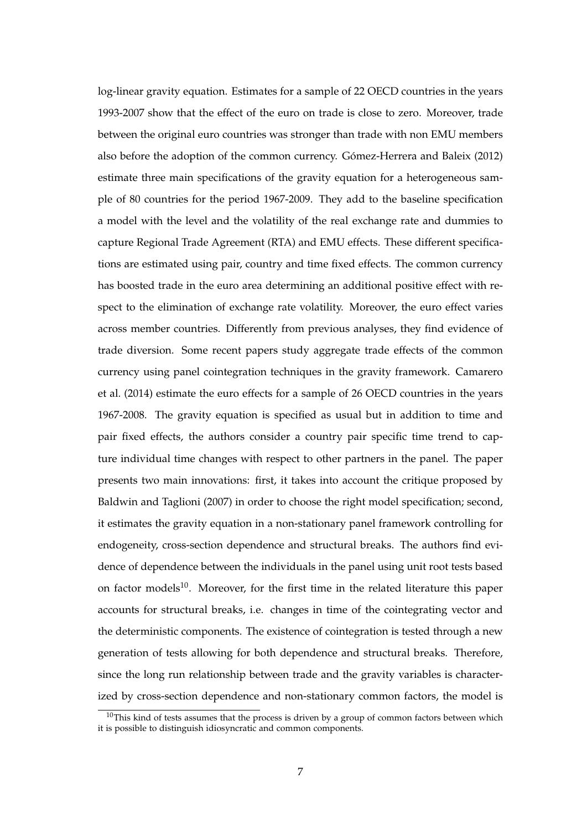log-linear gravity equation. Estimates for a sample of 22 OECD countries in the years 1993-2007 show that the effect of the euro on trade is close to zero. Moreover, trade between the original euro countries was stronger than trade with non EMU members also before the adoption of the common currency. Gómez-Herrera and Baleix (2012) estimate three main specifications of the gravity equation for a heterogeneous sample of 80 countries for the period 1967-2009. They add to the baseline specification a model with the level and the volatility of the real exchange rate and dummies to capture Regional Trade Agreement (RTA) and EMU effects. These different specifications are estimated using pair, country and time fixed effects. The common currency has boosted trade in the euro area determining an additional positive effect with respect to the elimination of exchange rate volatility. Moreover, the euro effect varies across member countries. Differently from previous analyses, they find evidence of trade diversion. Some recent papers study aggregate trade effects of the common currency using panel cointegration techniques in the gravity framework. Camarero et al. (2014) estimate the euro effects for a sample of 26 OECD countries in the years 1967-2008. The gravity equation is specified as usual but in addition to time and pair fixed effects, the authors consider a country pair specific time trend to capture individual time changes with respect to other partners in the panel. The paper presents two main innovations: first, it takes into account the critique proposed by Baldwin and Taglioni (2007) in order to choose the right model specification; second, it estimates the gravity equation in a non-stationary panel framework controlling for endogeneity, cross-section dependence and structural breaks. The authors find evidence of dependence between the individuals in the panel using unit root tests based on factor models<sup>10</sup>. Moreover, for the first time in the related literature this paper accounts for structural breaks, i.e. changes in time of the cointegrating vector and the deterministic components. The existence of cointegration is tested through a new generation of tests allowing for both dependence and structural breaks. Therefore, since the long run relationship between trade and the gravity variables is characterized by cross-section dependence and non-stationary common factors, the model is

 $10$ This kind of tests assumes that the process is driven by a group of common factors between which it is possible to distinguish idiosyncratic and common components.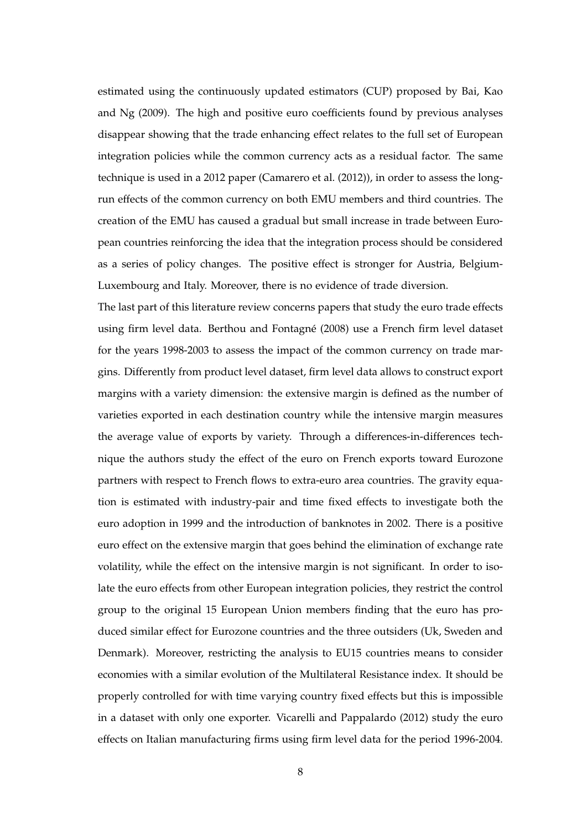estimated using the continuously updated estimators (CUP) proposed by Bai, Kao and Ng (2009). The high and positive euro coefficients found by previous analyses disappear showing that the trade enhancing effect relates to the full set of European integration policies while the common currency acts as a residual factor. The same technique is used in a 2012 paper (Camarero et al. (2012)), in order to assess the longrun effects of the common currency on both EMU members and third countries. The creation of the EMU has caused a gradual but small increase in trade between European countries reinforcing the idea that the integration process should be considered as a series of policy changes. The positive effect is stronger for Austria, Belgium-Luxembourg and Italy. Moreover, there is no evidence of trade diversion.

The last part of this literature review concerns papers that study the euro trade effects using firm level data. Berthou and Fontagné (2008) use a French firm level dataset for the years 1998-2003 to assess the impact of the common currency on trade margins. Differently from product level dataset, firm level data allows to construct export margins with a variety dimension: the extensive margin is defined as the number of varieties exported in each destination country while the intensive margin measures the average value of exports by variety. Through a differences-in-differences technique the authors study the effect of the euro on French exports toward Eurozone partners with respect to French flows to extra-euro area countries. The gravity equation is estimated with industry-pair and time fixed effects to investigate both the euro adoption in 1999 and the introduction of banknotes in 2002. There is a positive euro effect on the extensive margin that goes behind the elimination of exchange rate volatility, while the effect on the intensive margin is not significant. In order to isolate the euro effects from other European integration policies, they restrict the control group to the original 15 European Union members finding that the euro has produced similar effect for Eurozone countries and the three outsiders (Uk, Sweden and Denmark). Moreover, restricting the analysis to EU15 countries means to consider economies with a similar evolution of the Multilateral Resistance index. It should be properly controlled for with time varying country fixed effects but this is impossible in a dataset with only one exporter. Vicarelli and Pappalardo (2012) study the euro effects on Italian manufacturing firms using firm level data for the period 1996-2004.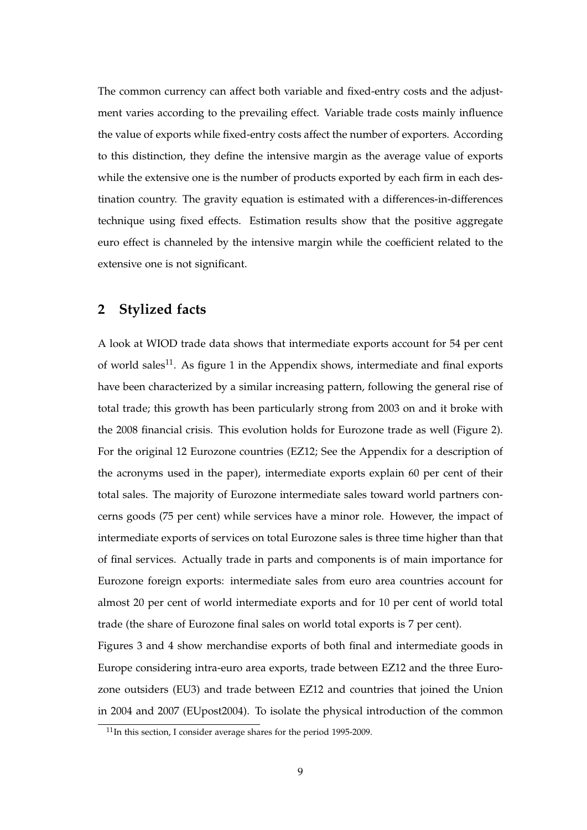The common currency can affect both variable and fixed-entry costs and the adjustment varies according to the prevailing effect. Variable trade costs mainly influence the value of exports while fixed-entry costs affect the number of exporters. According to this distinction, they define the intensive margin as the average value of exports while the extensive one is the number of products exported by each firm in each destination country. The gravity equation is estimated with a differences-in-differences technique using fixed effects. Estimation results show that the positive aggregate euro effect is channeled by the intensive margin while the coefficient related to the extensive one is not significant.

#### **2 Stylized facts**

A look at WIOD trade data shows that intermediate exports account for 54 per cent of world sales<sup>11</sup>. As figure 1 in the Appendix shows, intermediate and final exports have been characterized by a similar increasing pattern, following the general rise of total trade; this growth has been particularly strong from 2003 on and it broke with the 2008 financial crisis. This evolution holds for Eurozone trade as well (Figure 2). For the original 12 Eurozone countries (EZ12; See the Appendix for a description of the acronyms used in the paper), intermediate exports explain 60 per cent of their total sales. The majority of Eurozone intermediate sales toward world partners concerns goods (75 per cent) while services have a minor role. However, the impact of intermediate exports of services on total Eurozone sales is three time higher than that of final services. Actually trade in parts and components is of main importance for Eurozone foreign exports: intermediate sales from euro area countries account for almost 20 per cent of world intermediate exports and for 10 per cent of world total trade (the share of Eurozone final sales on world total exports is 7 per cent).

Figures 3 and 4 show merchandise exports of both final and intermediate goods in Europe considering intra-euro area exports, trade between EZ12 and the three Eurozone outsiders (EU3) and trade between EZ12 and countries that joined the Union in 2004 and 2007 (EUpost2004). To isolate the physical introduction of the common

<sup>11</sup>In this section, I consider average shares for the period 1995-2009.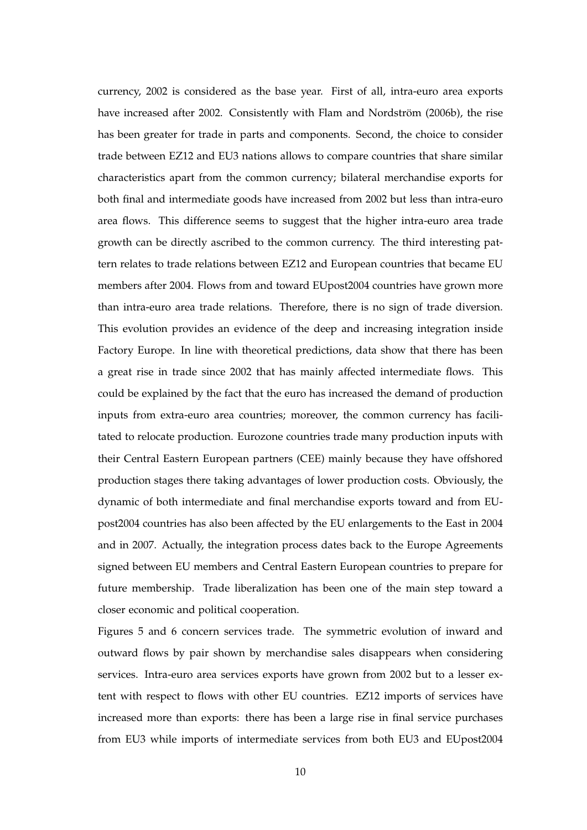currency, 2002 is considered as the base year. First of all, intra-euro area exports have increased after 2002. Consistently with Flam and Nordström (2006b), the rise has been greater for trade in parts and components. Second, the choice to consider trade between EZ12 and EU3 nations allows to compare countries that share similar characteristics apart from the common currency; bilateral merchandise exports for both final and intermediate goods have increased from 2002 but less than intra-euro area flows. This difference seems to suggest that the higher intra-euro area trade growth can be directly ascribed to the common currency. The third interesting pattern relates to trade relations between EZ12 and European countries that became EU members after 2004. Flows from and toward EUpost2004 countries have grown more than intra-euro area trade relations. Therefore, there is no sign of trade diversion. This evolution provides an evidence of the deep and increasing integration inside Factory Europe. In line with theoretical predictions, data show that there has been a great rise in trade since 2002 that has mainly affected intermediate flows. This could be explained by the fact that the euro has increased the demand of production inputs from extra-euro area countries; moreover, the common currency has facilitated to relocate production. Eurozone countries trade many production inputs with their Central Eastern European partners (CEE) mainly because they have offshored production stages there taking advantages of lower production costs. Obviously, the dynamic of both intermediate and final merchandise exports toward and from EUpost2004 countries has also been affected by the EU enlargements to the East in 2004 and in 2007. Actually, the integration process dates back to the Europe Agreements signed between EU members and Central Eastern European countries to prepare for future membership. Trade liberalization has been one of the main step toward a closer economic and political cooperation.

Figures 5 and 6 concern services trade. The symmetric evolution of inward and outward flows by pair shown by merchandise sales disappears when considering services. Intra-euro area services exports have grown from 2002 but to a lesser extent with respect to flows with other EU countries. EZ12 imports of services have increased more than exports: there has been a large rise in final service purchases from EU3 while imports of intermediate services from both EU3 and EUpost2004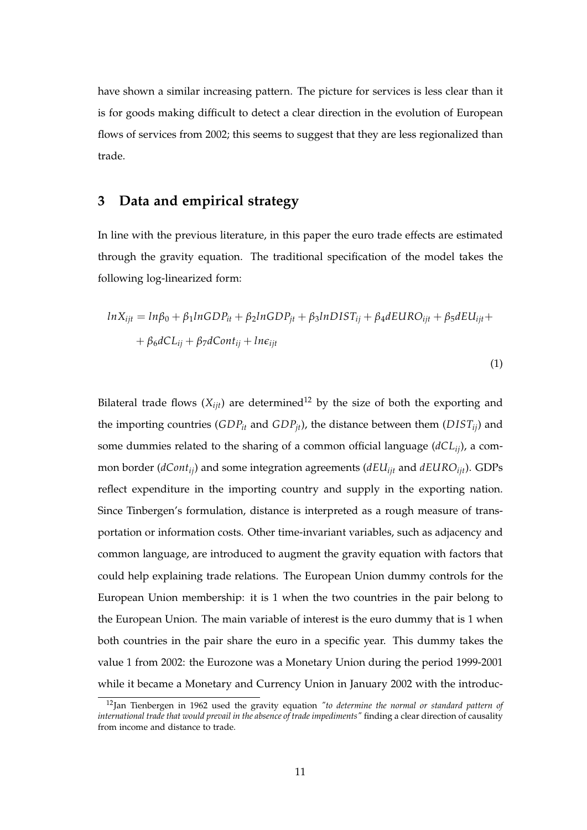have shown a similar increasing pattern. The picture for services is less clear than it is for goods making difficult to detect a clear direction in the evolution of European flows of services from 2002; this seems to suggest that they are less regionalized than trade.

#### **3 Data and empirical strategy**

In line with the previous literature, in this paper the euro trade effects are estimated through the gravity equation. The traditional specification of the model takes the following log-linearized form:

$$
lnX_{ijt} = ln\beta_0 + \beta_1 lnGDP_{it} + \beta_2 lnGDP_{jt} + \beta_3 lnDIST_{ij} + \beta_4 dEURO_{ijt} + \beta_5 dEU_{ijt} + + \beta_6 dCL_{ij} + \beta_7 dCont_{ij} + ln\epsilon_{ijt}
$$

(1)

Bilateral trade flows  $(X_{ijt})$  are determined<sup>12</sup> by the size of both the exporting and the importing countries (*GDPit* and *GDPjt*), the distance between them (*D ISTij*) and some dummies related to the sharing of a common official language (*dCLij*), a common border (*dCont<sub>ij</sub>*) and some integration agreements (*dEU*<sub>*ijt*</sub> and *dEURO*<sub>*ijt*</sub>). GDPs reflect expenditure in the importing country and supply in the exporting nation. Since Tinbergen's formulation, distance is interpreted as a rough measure of transportation or information costs. Other time-invariant variables, such as adjacency and common language, are introduced to augment the gravity equation with factors that could help explaining trade relations. The European Union dummy controls for the European Union membership: it is 1 when the two countries in the pair belong to the European Union. The main variable of interest is the euro dummy that is 1 when both countries in the pair share the euro in a specific year. This dummy takes the value 1 from 2002: the Eurozone was a Monetary Union during the period 1999-2001 while it became a Monetary and Currency Union in January 2002 with the introduc-

<sup>12</sup>Jan Tienbergen in 1962 used the gravity equation *"to determine the normal or standard pattern of international trade that would prevail in the absence of trade impediments"* finding a clear direction of causality from income and distance to trade.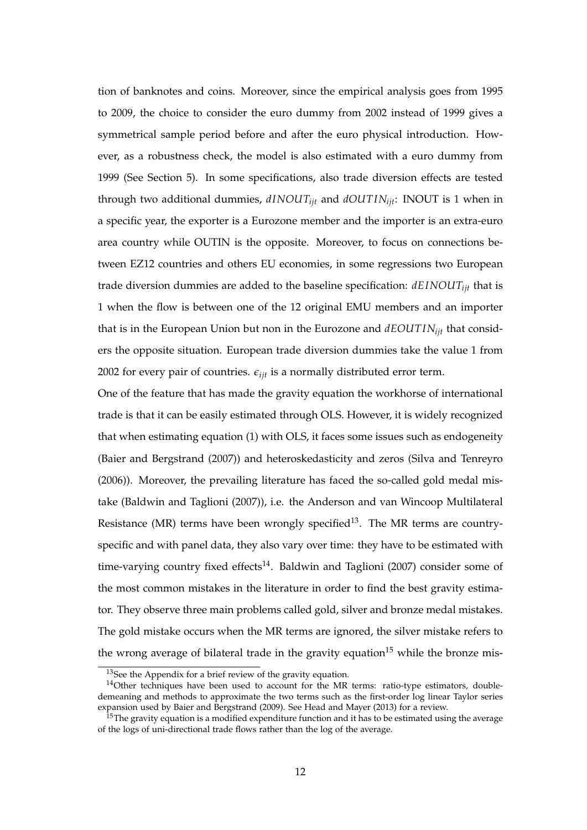tion of banknotes and coins. Moreover, since the empirical analysis goes from 1995 to 2009, the choice to consider the euro dummy from 2002 instead of 1999 gives a symmetrical sample period before and after the euro physical introduction. However, as a robustness check, the model is also estimated with a euro dummy from 1999 (See Section 5). In some specifications, also trade diversion effects are tested through two additional dummies, *dINOUTijt* and *dOUT INijt*: INOUT is 1 when in a specific year, the exporter is a Eurozone member and the importer is an extra-euro area country while OUTIN is the opposite. Moreover, to focus on connections between EZ12 countries and others EU economies, in some regressions two European trade diversion dummies are added to the baseline specification: *dEINOUTijt* that is 1 when the flow is between one of the 12 original EMU members and an importer that is in the European Union but non in the Eurozone and *dEOUT INijt* that considers the opposite situation. European trade diversion dummies take the value 1 from 2002 for every pair of countries.  $\epsilon_{ijt}$  is a normally distributed error term.

One of the feature that has made the gravity equation the workhorse of international trade is that it can be easily estimated through OLS. However, it is widely recognized that when estimating equation (1) with OLS, it faces some issues such as endogeneity (Baier and Bergstrand (2007)) and heteroskedasticity and zeros (Silva and Tenreyro (2006)). Moreover, the prevailing literature has faced the so-called gold medal mistake (Baldwin and Taglioni (2007)), i.e. the Anderson and van Wincoop Multilateral Resistance (MR) terms have been wrongly specified<sup>13</sup>. The MR terms are countryspecific and with panel data, they also vary over time: they have to be estimated with time-varying country fixed effects<sup>14</sup>. Baldwin and Taglioni (2007) consider some of the most common mistakes in the literature in order to find the best gravity estimator. They observe three main problems called gold, silver and bronze medal mistakes. The gold mistake occurs when the MR terms are ignored, the silver mistake refers to the wrong average of bilateral trade in the gravity equation<sup>15</sup> while the bronze mis-

<sup>13</sup>See the Appendix for a brief review of the gravity equation.

<sup>&</sup>lt;sup>14</sup>Other techniques have been used to account for the MR terms: ratio-type estimators, doubledemeaning and methods to approximate the two terms such as the first-order log linear Taylor series expansion used by Baier and Bergstrand (2009). See Head and Mayer (2013) for a review.

 $15$ The gravity equation is a modified expenditure function and it has to be estimated using the average of the logs of uni-directional trade flows rather than the log of the average.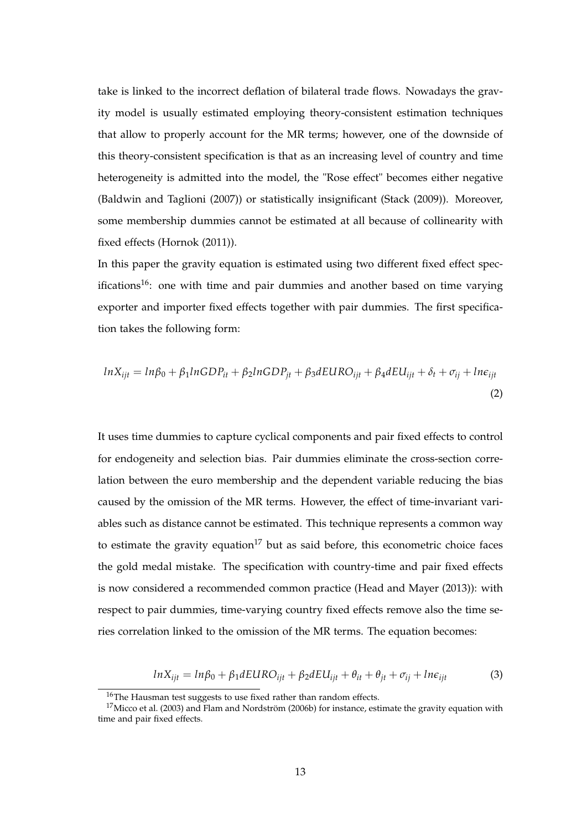take is linked to the incorrect deflation of bilateral trade flows. Nowadays the gravity model is usually estimated employing theory-consistent estimation techniques that allow to properly account for the MR terms; however, one of the downside of this theory-consistent specification is that as an increasing level of country and time heterogeneity is admitted into the model, the "Rose effect" becomes either negative (Baldwin and Taglioni (2007)) or statistically insignificant (Stack (2009)). Moreover, some membership dummies cannot be estimated at all because of collinearity with fixed effects (Hornok (2011)).

In this paper the gravity equation is estimated using two different fixed effect specifications<sup>16</sup>: one with time and pair dummies and another based on time varying exporter and importer fixed effects together with pair dummies. The first specification takes the following form:

$$
lnX_{ijt} = ln\beta_0 + \beta_1 lnGDP_{it} + \beta_2 lnGDP_{jt} + \beta_3 dEURO_{ijt} + \beta_4 dEU_{ijt} + \delta_t + \sigma_{ij} + ln\epsilon_{ijt}
$$
\n(2)

It uses time dummies to capture cyclical components and pair fixed effects to control for endogeneity and selection bias. Pair dummies eliminate the cross-section correlation between the euro membership and the dependent variable reducing the bias caused by the omission of the MR terms. However, the effect of time-invariant variables such as distance cannot be estimated. This technique represents a common way to estimate the gravity equation<sup>17</sup> but as said before, this econometric choice faces the gold medal mistake. The specification with country-time and pair fixed effects is now considered a recommended common practice (Head and Mayer (2013)): with respect to pair dummies, time-varying country fixed effects remove also the time series correlation linked to the omission of the MR terms. The equation becomes:

$$
ln X_{ijt} = ln \beta_0 + \beta_1 dEURO_{ijt} + \beta_2 dEU_{ijt} + \theta_{it} + \theta_{jt} + \sigma_{ij} + ln \epsilon_{ijt}
$$
 (3)

<sup>&</sup>lt;sup>16</sup>The Hausman test suggests to use fixed rather than random effects.

<sup>&</sup>lt;sup>17</sup>Micco et al. (2003) and Flam and Nordström (2006b) for instance, estimate the gravity equation with time and pair fixed effects.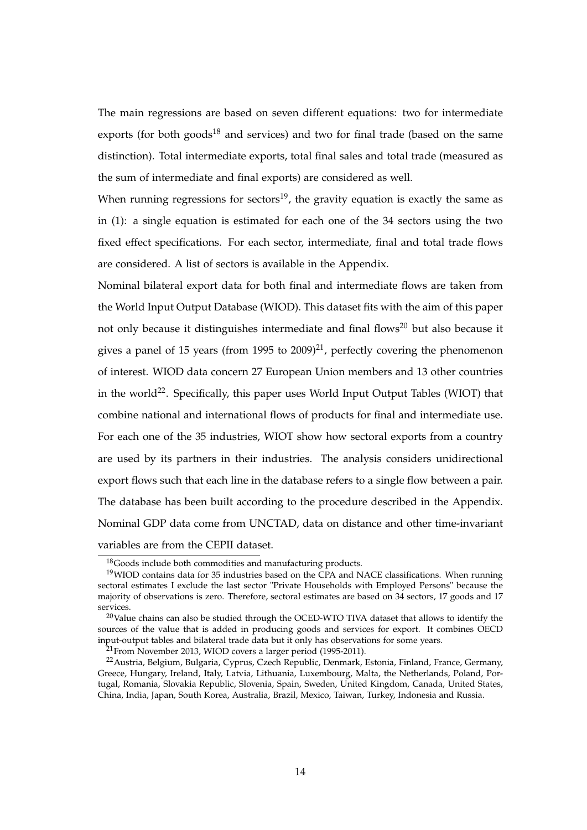The main regressions are based on seven different equations: two for intermediate exports (for both goods<sup>18</sup> and services) and two for final trade (based on the same distinction). Total intermediate exports, total final sales and total trade (measured as the sum of intermediate and final exports) are considered as well.

When running regressions for sectors<sup>19</sup>, the gravity equation is exactly the same as in (1): a single equation is estimated for each one of the 34 sectors using the two fixed effect specifications. For each sector, intermediate, final and total trade flows are considered. A list of sectors is available in the Appendix.

Nominal bilateral export data for both final and intermediate flows are taken from the World Input Output Database (WIOD). This dataset fits with the aim of this paper not only because it distinguishes intermediate and final flows<sup>20</sup> but also because it gives a panel of 15 years (from 1995 to  $2009)^{21}$ , perfectly covering the phenomenon of interest. WIOD data concern 27 European Union members and 13 other countries in the world<sup>22</sup>. Specifically, this paper uses World Input Output Tables (WIOT) that combine national and international flows of products for final and intermediate use. For each one of the 35 industries, WIOT show how sectoral exports from a country are used by its partners in their industries. The analysis considers unidirectional export flows such that each line in the database refers to a single flow between a pair. The database has been built according to the procedure described in the Appendix. Nominal GDP data come from UNCTAD, data on distance and other time-invariant variables are from the CEPII dataset.

<sup>18</sup>Goods include both commodities and manufacturing products.

<sup>&</sup>lt;sup>19</sup>WIOD contains data for 35 industries based on the CPA and NACE classifications. When running sectoral estimates I exclude the last sector "Private Households with Employed Persons" because the majority of observations is zero. Therefore, sectoral estimates are based on 34 sectors, 17 goods and 17 services.

 $20$ Value chains can also be studied through the OCED-WTO TIVA dataset that allows to identify the sources of the value that is added in producing goods and services for export. It combines OECD input-output tables and bilateral trade data but it only has observations for some years.

<sup>&</sup>lt;sup>21</sup> From November 2013, WIOD covers a larger period (1995-2011).

<sup>22</sup>Austria, Belgium, Bulgaria, Cyprus, Czech Republic, Denmark, Estonia, Finland, France, Germany, Greece, Hungary, Ireland, Italy, Latvia, Lithuania, Luxembourg, Malta, the Netherlands, Poland, Portugal, Romania, Slovakia Republic, Slovenia, Spain, Sweden, United Kingdom, Canada, United States, China, India, Japan, South Korea, Australia, Brazil, Mexico, Taiwan, Turkey, Indonesia and Russia.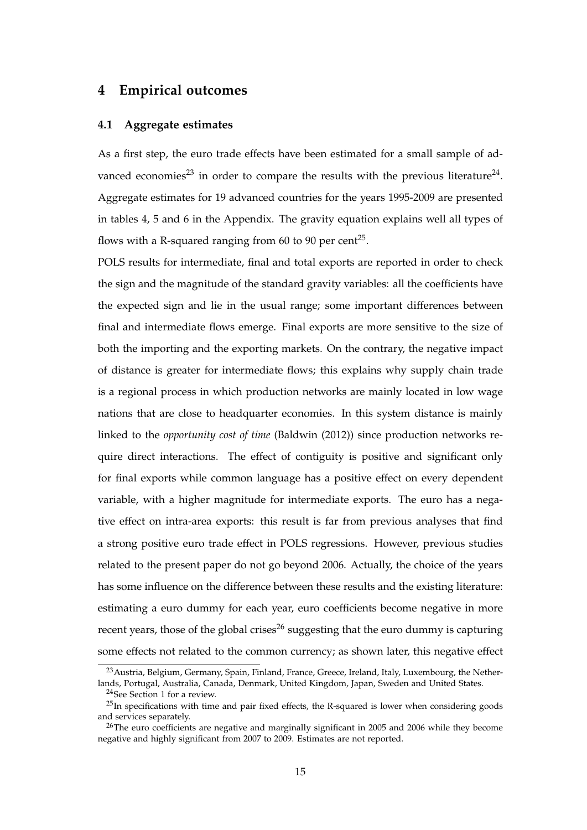#### **4 Empirical outcomes**

#### **4.1 Aggregate estimates**

As a first step, the euro trade effects have been estimated for a small sample of advanced economies<sup>23</sup> in order to compare the results with the previous literature<sup>24</sup>. Aggregate estimates for 19 advanced countries for the years 1995-2009 are presented in tables 4, 5 and 6 in the Appendix. The gravity equation explains well all types of flows with a R-squared ranging from 60 to 90 per cent<sup>25</sup>.

POLS results for intermediate, final and total exports are reported in order to check the sign and the magnitude of the standard gravity variables: all the coefficients have the expected sign and lie in the usual range; some important differences between final and intermediate flows emerge. Final exports are more sensitive to the size of both the importing and the exporting markets. On the contrary, the negative impact of distance is greater for intermediate flows; this explains why supply chain trade is a regional process in which production networks are mainly located in low wage nations that are close to headquarter economies. In this system distance is mainly linked to the *opportunity cost of time* (Baldwin (2012)) since production networks require direct interactions. The effect of contiguity is positive and significant only for final exports while common language has a positive effect on every dependent variable, with a higher magnitude for intermediate exports. The euro has a negative effect on intra-area exports: this result is far from previous analyses that find a strong positive euro trade effect in POLS regressions. However, previous studies related to the present paper do not go beyond 2006. Actually, the choice of the years has some influence on the difference between these results and the existing literature: estimating a euro dummy for each year, euro coefficients become negative in more recent years, those of the global crises<sup>26</sup> suggesting that the euro dummy is capturing some effects not related to the common currency; as shown later, this negative effect

<sup>&</sup>lt;sup>23</sup> Austria, Belgium, Germany, Spain, Finland, France, Greece, Ireland, Italy, Luxembourg, the Netherlands, Portugal, Australia, Canada, Denmark, United Kingdom, Japan, Sweden and United States.

<sup>24</sup>See Section 1 for a review.

 $^{25}$ In specifications with time and pair fixed effects, the R-squared is lower when considering goods and services separately.

 $^{26}$ The euro coefficients are negative and marginally significant in 2005 and 2006 while they become negative and highly significant from 2007 to 2009. Estimates are not reported.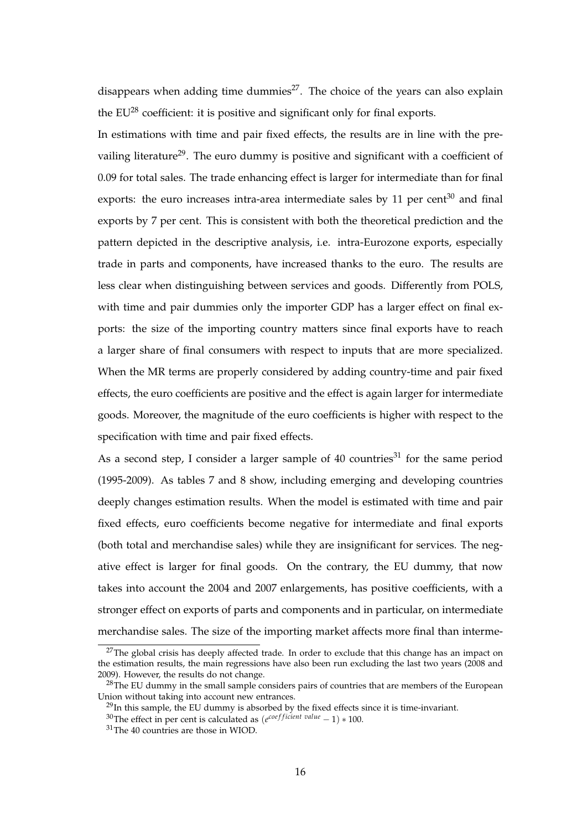disappears when adding time dummies<sup>27</sup>. The choice of the years can also explain the  $EU^{28}$  coefficient: it is positive and significant only for final exports.

In estimations with time and pair fixed effects, the results are in line with the prevailing literature<sup>29</sup>. The euro dummy is positive and significant with a coefficient of 0.09 for total sales. The trade enhancing effect is larger for intermediate than for final exports: the euro increases intra-area intermediate sales by  $11$  per cent<sup>30</sup> and final exports by 7 per cent. This is consistent with both the theoretical prediction and the pattern depicted in the descriptive analysis, i.e. intra-Eurozone exports, especially trade in parts and components, have increased thanks to the euro. The results are less clear when distinguishing between services and goods. Differently from POLS, with time and pair dummies only the importer GDP has a larger effect on final exports: the size of the importing country matters since final exports have to reach a larger share of final consumers with respect to inputs that are more specialized. When the MR terms are properly considered by adding country-time and pair fixed effects, the euro coefficients are positive and the effect is again larger for intermediate goods. Moreover, the magnitude of the euro coefficients is higher with respect to the specification with time and pair fixed effects.

As a second step, I consider a larger sample of  $40$  countries<sup>31</sup> for the same period (1995-2009). As tables 7 and 8 show, including emerging and developing countries deeply changes estimation results. When the model is estimated with time and pair fixed effects, euro coefficients become negative for intermediate and final exports (both total and merchandise sales) while they are insignificant for services. The negative effect is larger for final goods. On the contrary, the EU dummy, that now takes into account the 2004 and 2007 enlargements, has positive coefficients, with a stronger effect on exports of parts and components and in particular, on intermediate merchandise sales. The size of the importing market affects more final than interme-

 $27$ The global crisis has deeply affected trade. In order to exclude that this change has an impact on the estimation results, the main regressions have also been run excluding the last two years (2008 and 2009). However, the results do not change.

<sup>&</sup>lt;sup>28</sup>The EU dummy in the small sample considers pairs of countries that are members of the European Union without taking into account new entrances.

<sup>&</sup>lt;sup>29</sup>In this sample, the EU dummy is absorbed by the fixed effects since it is time-invariant.

<sup>&</sup>lt;sup>30</sup>The effect in per cent is calculated as (*e*<sup>coefficient value</sup> − 1) \* 100.

<sup>&</sup>lt;sup>31</sup>The 40 countries are those in WIOD.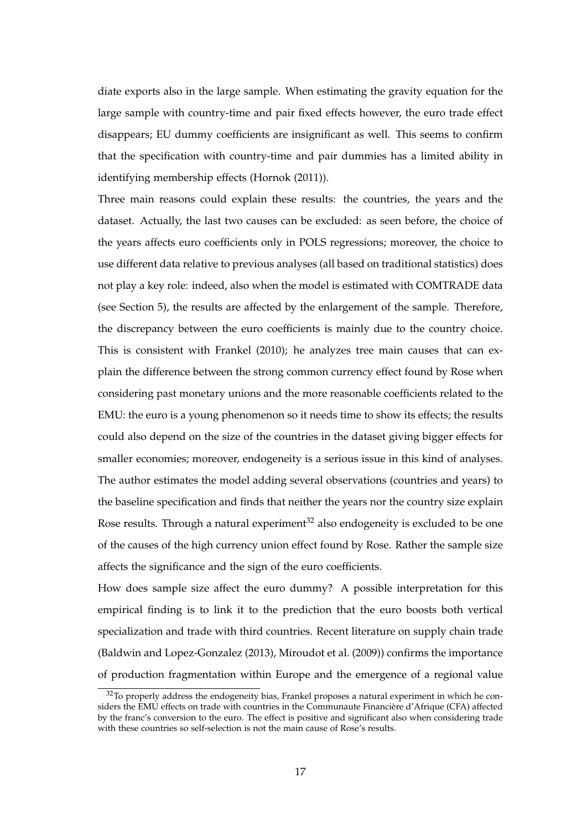diate exports also in the large sample. When estimating the gravity equation for the large sample with country-time and pair fixed effects however, the euro trade effect disappears; EU dummy coefficients are insignificant as well. This seems to confirm that the specification with country-time and pair dummies has a limited ability in identifying membership effects (Hornok (2011)).

Three main reasons could explain these results: the countries, the years and the dataset. Actually, the last two causes can be excluded: as seen before, the choice of the years affects euro coefficients only in POLS regressions; moreover, the choice to use different data relative to previous analyses (all based on traditional statistics) does not play a key role: indeed, also when the model is estimated with COMTRADE data (see Section 5), the results are affected by the enlargement of the sample. Therefore, the discrepancy between the euro coefficients is mainly due to the country choice. This is consistent with Frankel (2010); he analyzes tree main causes that can explain the difference between the strong common currency effect found by Rose when considering past monetary unions and the more reasonable coefficients related to the EMU: the euro is a young phenomenon so it needs time to show its effects; the results could also depend on the size of the countries in the dataset giving bigger effects for smaller economies; moreover, endogeneity is a serious issue in this kind of analyses. The author estimates the model adding several observations (countries and years) to the baseline specification and finds that neither the years nor the country size explain Rose results. Through a natural experiment<sup>32</sup> also endogeneity is excluded to be one of the causes of the high currency union effect found by Rose. Rather the sample size affects the significance and the sign of the euro coefficients.

How does sample size affect the euro dummy? A possible interpretation for this empirical finding is to link it to the prediction that the euro boosts both vertical specialization and trade with third countries. Recent literature on supply chain trade (Baldwin and Lopez-Gonzalez (2013), Miroudot et al. (2009)) confirms the importance of production fragmentation within Europe and the emergence of a regional value

 $32$ To properly address the endogeneity bias, Frankel proposes a natural experiment in which he considers the EMU effects on trade with countries in the Communaute Financière d'Afrique (CFA) affected by the franc's conversion to the euro. The effect is positive and significant also when considering trade with these countries so self-selection is not the main cause of Rose's results.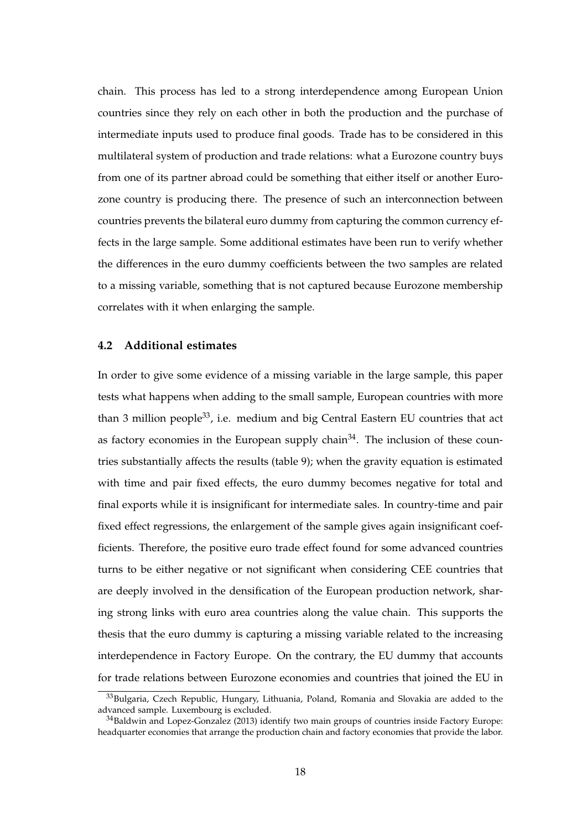chain. This process has led to a strong interdependence among European Union countries since they rely on each other in both the production and the purchase of intermediate inputs used to produce final goods. Trade has to be considered in this multilateral system of production and trade relations: what a Eurozone country buys from one of its partner abroad could be something that either itself or another Eurozone country is producing there. The presence of such an interconnection between countries prevents the bilateral euro dummy from capturing the common currency effects in the large sample. Some additional estimates have been run to verify whether the differences in the euro dummy coefficients between the two samples are related to a missing variable, something that is not captured because Eurozone membership correlates with it when enlarging the sample.

#### **4.2 Additional estimates**

In order to give some evidence of a missing variable in the large sample, this paper tests what happens when adding to the small sample, European countries with more than 3 million people<sup>33</sup>, i.e. medium and big Central Eastern EU countries that act as factory economies in the European supply chain<sup>34</sup>. The inclusion of these countries substantially affects the results (table 9); when the gravity equation is estimated with time and pair fixed effects, the euro dummy becomes negative for total and final exports while it is insignificant for intermediate sales. In country-time and pair fixed effect regressions, the enlargement of the sample gives again insignificant coefficients. Therefore, the positive euro trade effect found for some advanced countries turns to be either negative or not significant when considering CEE countries that are deeply involved in the densification of the European production network, sharing strong links with euro area countries along the value chain. This supports the thesis that the euro dummy is capturing a missing variable related to the increasing interdependence in Factory Europe. On the contrary, the EU dummy that accounts for trade relations between Eurozone economies and countries that joined the EU in

<sup>33</sup>Bulgaria, Czech Republic, Hungary, Lithuania, Poland, Romania and Slovakia are added to the advanced sample. Luxembourg is excluded.

<sup>&</sup>lt;sup>34</sup>Baldwin and Lopez-Gonzalez (2013) identify two main groups of countries inside Factory Europe: headquarter economies that arrange the production chain and factory economies that provide the labor.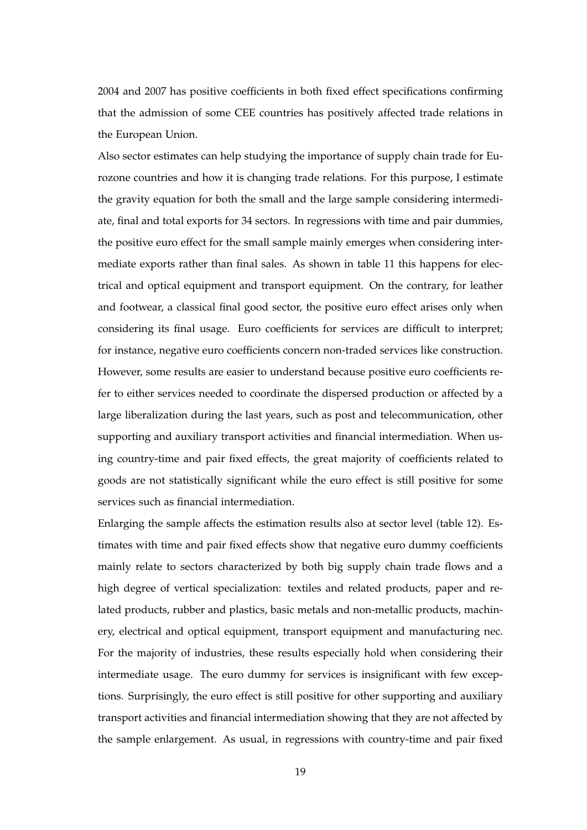2004 and 2007 has positive coefficients in both fixed effect specifications confirming that the admission of some CEE countries has positively affected trade relations in the European Union.

Also sector estimates can help studying the importance of supply chain trade for Eurozone countries and how it is changing trade relations. For this purpose, I estimate the gravity equation for both the small and the large sample considering intermediate, final and total exports for 34 sectors. In regressions with time and pair dummies, the positive euro effect for the small sample mainly emerges when considering intermediate exports rather than final sales. As shown in table 11 this happens for electrical and optical equipment and transport equipment. On the contrary, for leather and footwear, a classical final good sector, the positive euro effect arises only when considering its final usage. Euro coefficients for services are difficult to interpret; for instance, negative euro coefficients concern non-traded services like construction. However, some results are easier to understand because positive euro coefficients refer to either services needed to coordinate the dispersed production or affected by a large liberalization during the last years, such as post and telecommunication, other supporting and auxiliary transport activities and financial intermediation. When using country-time and pair fixed effects, the great majority of coefficients related to goods are not statistically significant while the euro effect is still positive for some services such as financial intermediation.

Enlarging the sample affects the estimation results also at sector level (table 12). Estimates with time and pair fixed effects show that negative euro dummy coefficients mainly relate to sectors characterized by both big supply chain trade flows and a high degree of vertical specialization: textiles and related products, paper and related products, rubber and plastics, basic metals and non-metallic products, machinery, electrical and optical equipment, transport equipment and manufacturing nec. For the majority of industries, these results especially hold when considering their intermediate usage. The euro dummy for services is insignificant with few exceptions. Surprisingly, the euro effect is still positive for other supporting and auxiliary transport activities and financial intermediation showing that they are not affected by the sample enlargement. As usual, in regressions with country-time and pair fixed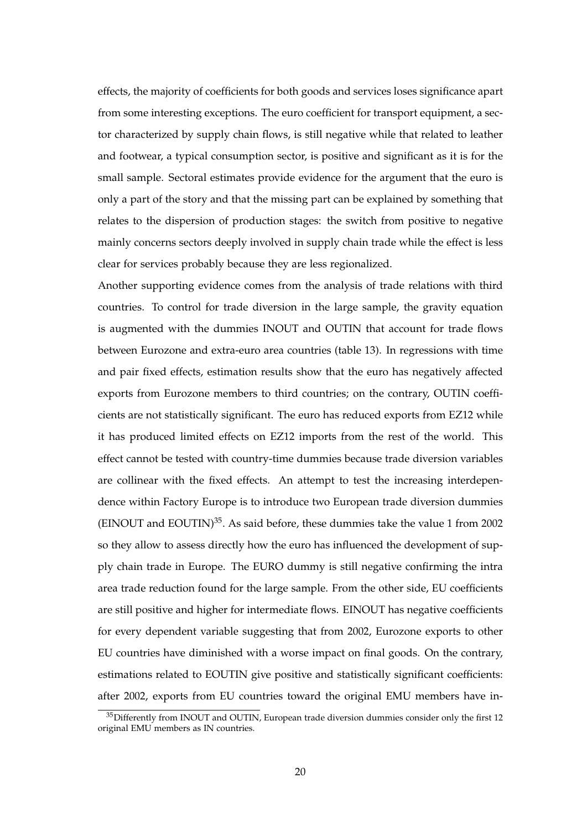effects, the majority of coefficients for both goods and services loses significance apart from some interesting exceptions. The euro coefficient for transport equipment, a sector characterized by supply chain flows, is still negative while that related to leather and footwear, a typical consumption sector, is positive and significant as it is for the small sample. Sectoral estimates provide evidence for the argument that the euro is only a part of the story and that the missing part can be explained by something that relates to the dispersion of production stages: the switch from positive to negative mainly concerns sectors deeply involved in supply chain trade while the effect is less clear for services probably because they are less regionalized.

Another supporting evidence comes from the analysis of trade relations with third countries. To control for trade diversion in the large sample, the gravity equation is augmented with the dummies INOUT and OUTIN that account for trade flows between Eurozone and extra-euro area countries (table 13). In regressions with time and pair fixed effects, estimation results show that the euro has negatively affected exports from Eurozone members to third countries; on the contrary, OUTIN coefficients are not statistically significant. The euro has reduced exports from EZ12 while it has produced limited effects on EZ12 imports from the rest of the world. This effect cannot be tested with country-time dummies because trade diversion variables are collinear with the fixed effects. An attempt to test the increasing interdependence within Factory Europe is to introduce two European trade diversion dummies (EINOUT and EOUTIN) $^{35}$ . As said before, these dummies take the value 1 from 2002 so they allow to assess directly how the euro has influenced the development of supply chain trade in Europe. The EURO dummy is still negative confirming the intra area trade reduction found for the large sample. From the other side, EU coefficients are still positive and higher for intermediate flows. EINOUT has negative coefficients for every dependent variable suggesting that from 2002, Eurozone exports to other EU countries have diminished with a worse impact on final goods. On the contrary, estimations related to EOUTIN give positive and statistically significant coefficients: after 2002, exports from EU countries toward the original EMU members have in-

<sup>&</sup>lt;sup>35</sup>Differently from INOUT and OUTIN, European trade diversion dummies consider only the first 12 original EMU members as IN countries.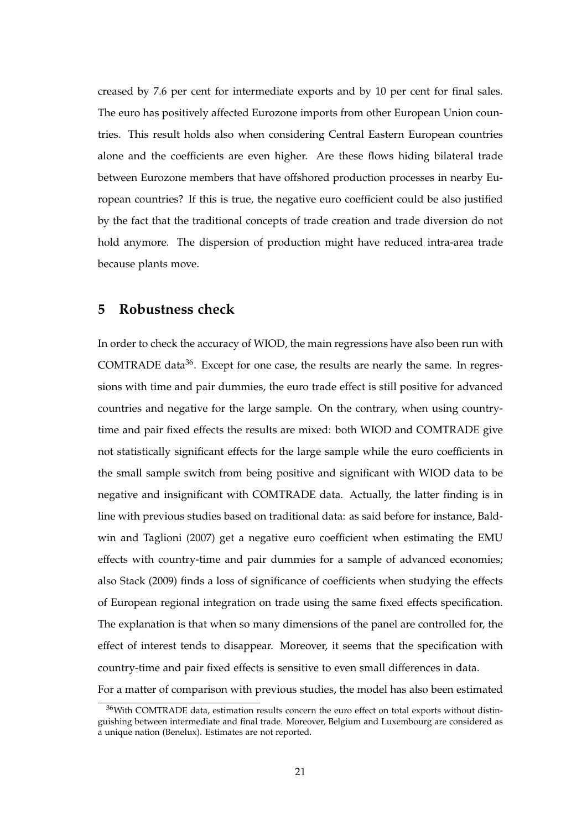creased by 7.6 per cent for intermediate exports and by 10 per cent for final sales. The euro has positively affected Eurozone imports from other European Union countries. This result holds also when considering Central Eastern European countries alone and the coefficients are even higher. Are these flows hiding bilateral trade between Eurozone members that have offshored production processes in nearby European countries? If this is true, the negative euro coefficient could be also justified by the fact that the traditional concepts of trade creation and trade diversion do not hold anymore. The dispersion of production might have reduced intra-area trade because plants move.

#### **5 Robustness check**

In order to check the accuracy of WIOD, the main regressions have also been run with COMTRADE data $36$ . Except for one case, the results are nearly the same. In regressions with time and pair dummies, the euro trade effect is still positive for advanced countries and negative for the large sample. On the contrary, when using countrytime and pair fixed effects the results are mixed: both WIOD and COMTRADE give not statistically significant effects for the large sample while the euro coefficients in the small sample switch from being positive and significant with WIOD data to be negative and insignificant with COMTRADE data. Actually, the latter finding is in line with previous studies based on traditional data: as said before for instance, Baldwin and Taglioni (2007) get a negative euro coefficient when estimating the EMU effects with country-time and pair dummies for a sample of advanced economies; also Stack (2009) finds a loss of significance of coefficients when studying the effects of European regional integration on trade using the same fixed effects specification. The explanation is that when so many dimensions of the panel are controlled for, the effect of interest tends to disappear. Moreover, it seems that the specification with country-time and pair fixed effects is sensitive to even small differences in data. For a matter of comparison with previous studies, the model has also been estimated

<sup>&</sup>lt;sup>36</sup>With COMTRADE data, estimation results concern the euro effect on total exports without distinguishing between intermediate and final trade. Moreover, Belgium and Luxembourg are considered as a unique nation (Benelux). Estimates are not reported.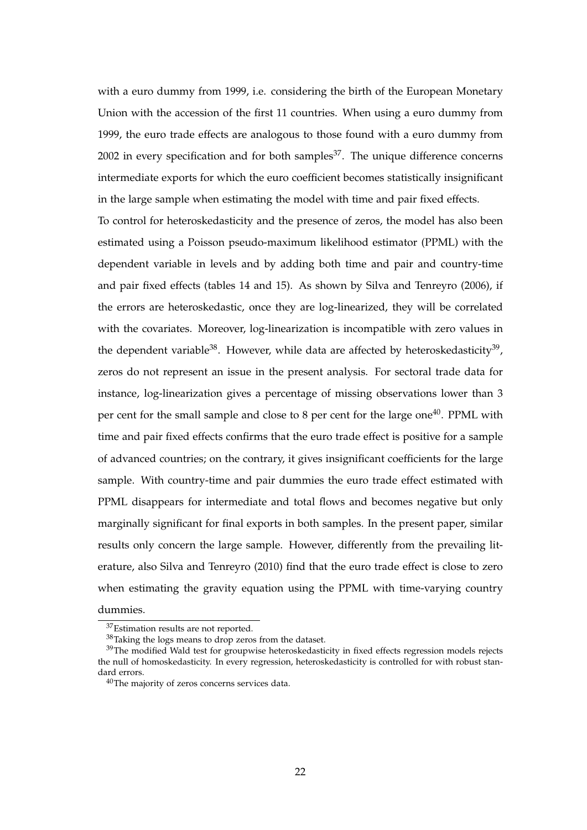with a euro dummy from 1999, i.e. considering the birth of the European Monetary Union with the accession of the first 11 countries. When using a euro dummy from 1999, the euro trade effects are analogous to those found with a euro dummy from 2002 in every specification and for both samples $37$ . The unique difference concerns intermediate exports for which the euro coefficient becomes statistically insignificant in the large sample when estimating the model with time and pair fixed effects.

To control for heteroskedasticity and the presence of zeros, the model has also been estimated using a Poisson pseudo-maximum likelihood estimator (PPML) with the dependent variable in levels and by adding both time and pair and country-time and pair fixed effects (tables 14 and 15). As shown by Silva and Tenreyro (2006), if the errors are heteroskedastic, once they are log-linearized, they will be correlated with the covariates. Moreover, log-linearization is incompatible with zero values in the dependent variable<sup>38</sup>. However, while data are affected by heteroskedasticity<sup>39</sup>, zeros do not represent an issue in the present analysis. For sectoral trade data for instance, log-linearization gives a percentage of missing observations lower than 3 per cent for the small sample and close to 8 per cent for the large one<sup>40</sup>. PPML with time and pair fixed effects confirms that the euro trade effect is positive for a sample of advanced countries; on the contrary, it gives insignificant coefficients for the large sample. With country-time and pair dummies the euro trade effect estimated with PPML disappears for intermediate and total flows and becomes negative but only marginally significant for final exports in both samples. In the present paper, similar results only concern the large sample. However, differently from the prevailing literature, also Silva and Tenreyro (2010) find that the euro trade effect is close to zero when estimating the gravity equation using the PPML with time-varying country

dummies.

<sup>&</sup>lt;sup>37</sup>Estimation results are not reported.

<sup>38</sup>Taking the logs means to drop zeros from the dataset.

 $39$ The modified Wald test for groupwise heteroskedasticity in fixed effects regression models rejects the null of homoskedasticity. In every regression, heteroskedasticity is controlled for with robust standard errors.

<sup>40</sup>The majority of zeros concerns services data.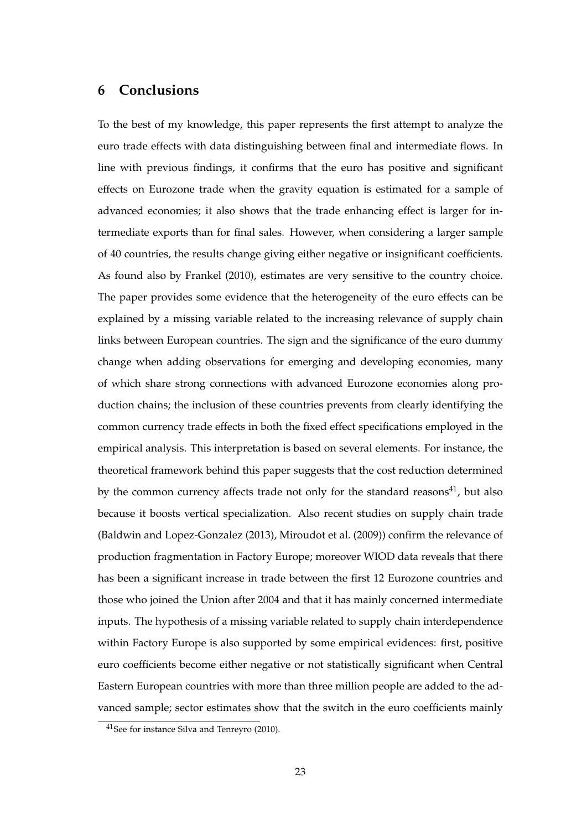#### **6 Conclusions**

To the best of my knowledge, this paper represents the first attempt to analyze the euro trade effects with data distinguishing between final and intermediate flows. In line with previous findings, it confirms that the euro has positive and significant effects on Eurozone trade when the gravity equation is estimated for a sample of advanced economies; it also shows that the trade enhancing effect is larger for intermediate exports than for final sales. However, when considering a larger sample of 40 countries, the results change giving either negative or insignificant coefficients. As found also by Frankel (2010), estimates are very sensitive to the country choice. The paper provides some evidence that the heterogeneity of the euro effects can be explained by a missing variable related to the increasing relevance of supply chain links between European countries. The sign and the significance of the euro dummy change when adding observations for emerging and developing economies, many of which share strong connections with advanced Eurozone economies along production chains; the inclusion of these countries prevents from clearly identifying the common currency trade effects in both the fixed effect specifications employed in the empirical analysis. This interpretation is based on several elements. For instance, the theoretical framework behind this paper suggests that the cost reduction determined by the common currency affects trade not only for the standard reasons $^{41}$ , but also because it boosts vertical specialization. Also recent studies on supply chain trade (Baldwin and Lopez-Gonzalez (2013), Miroudot et al. (2009)) confirm the relevance of production fragmentation in Factory Europe; moreover WIOD data reveals that there has been a significant increase in trade between the first 12 Eurozone countries and those who joined the Union after 2004 and that it has mainly concerned intermediate inputs. The hypothesis of a missing variable related to supply chain interdependence within Factory Europe is also supported by some empirical evidences: first, positive euro coefficients become either negative or not statistically significant when Central Eastern European countries with more than three million people are added to the advanced sample; sector estimates show that the switch in the euro coefficients mainly

<sup>41</sup>See for instance Silva and Tenreyro (2010).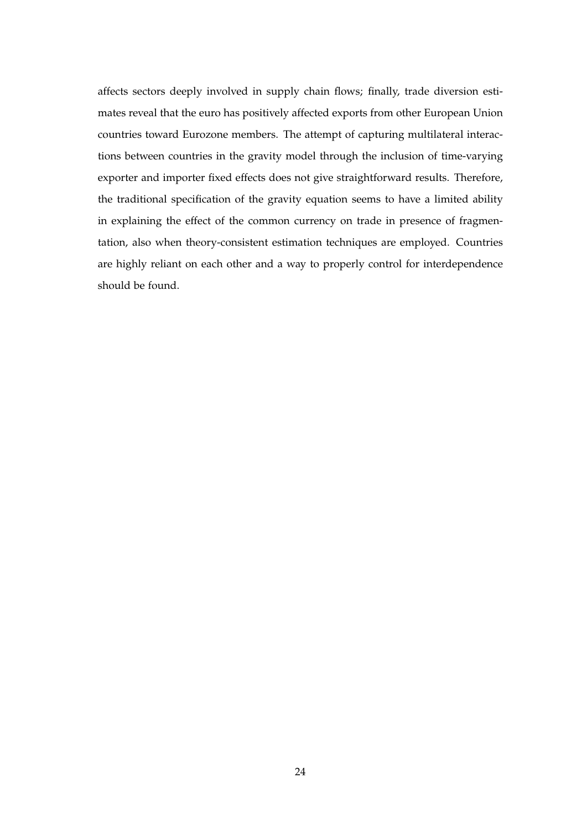affects sectors deeply involved in supply chain flows; finally, trade diversion estimates reveal that the euro has positively affected exports from other European Union countries toward Eurozone members. The attempt of capturing multilateral interactions between countries in the gravity model through the inclusion of time-varying exporter and importer fixed effects does not give straightforward results. Therefore, the traditional specification of the gravity equation seems to have a limited ability in explaining the effect of the common currency on trade in presence of fragmentation, also when theory-consistent estimation techniques are employed. Countries are highly reliant on each other and a way to properly control for interdependence should be found.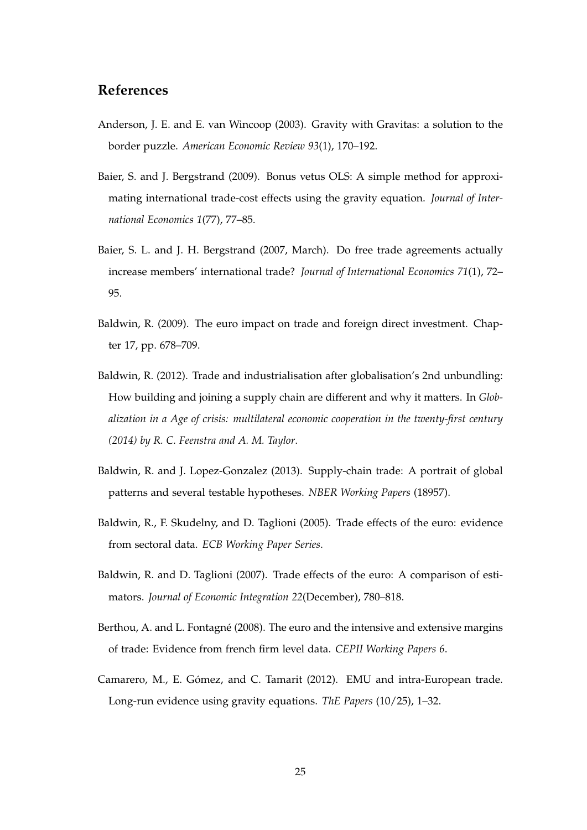#### **References**

- Anderson, J. E. and E. van Wincoop (2003). Gravity with Gravitas: a solution to the border puzzle. *American Economic Review 93*(1), 170–192.
- Baier, S. and J. Bergstrand (2009). Bonus vetus OLS: A simple method for approximating international trade-cost effects using the gravity equation. *Journal of International Economics 1*(77), 77–85.
- Baier, S. L. and J. H. Bergstrand (2007, March). Do free trade agreements actually increase members' international trade? *Journal of International Economics 71*(1), 72– 95.
- Baldwin, R. (2009). The euro impact on trade and foreign direct investment. Chapter 17, pp. 678–709.
- Baldwin, R. (2012). Trade and industrialisation after globalisation's 2nd unbundling: How building and joining a supply chain are different and why it matters. In *Globalization in a Age of crisis: multilateral economic cooperation in the twenty-first century (2014) by R. C. Feenstra and A. M. Taylor*.
- Baldwin, R. and J. Lopez-Gonzalez (2013). Supply-chain trade: A portrait of global patterns and several testable hypotheses. *NBER Working Papers* (18957).
- Baldwin, R., F. Skudelny, and D. Taglioni (2005). Trade effects of the euro: evidence from sectoral data. *ECB Working Paper Series*.
- Baldwin, R. and D. Taglioni (2007). Trade effects of the euro: A comparison of estimators. *Journal of Economic Integration 22*(December), 780–818.
- Berthou, A. and L. Fontagné (2008). The euro and the intensive and extensive margins of trade: Evidence from french firm level data. *CEPII Working Papers 6*.
- Camarero, M., E. Gómez, and C. Tamarit (2012). EMU and intra-European trade. Long-run evidence using gravity equations. *ThE Papers* (10/25), 1–32.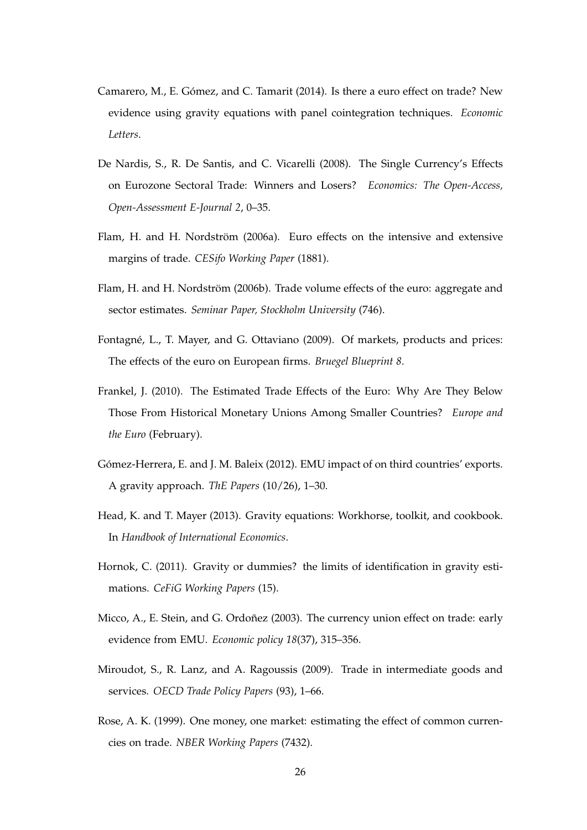- Camarero, M., E. Gómez, and C. Tamarit (2014). Is there a euro effect on trade? New evidence using gravity equations with panel cointegration techniques. *Economic Letters*.
- De Nardis, S., R. De Santis, and C. Vicarelli (2008). The Single Currency's Effects on Eurozone Sectoral Trade: Winners and Losers? *Economics: The Open-Access, Open-Assessment E-Journal 2*, 0–35.
- Flam, H. and H. Nordström (2006a). Euro effects on the intensive and extensive margins of trade. *CESifo Working Paper* (1881).
- Flam, H. and H. Nordström (2006b). Trade volume effects of the euro: aggregate and sector estimates. *Seminar Paper, Stockholm University* (746).
- Fontagné, L., T. Mayer, and G. Ottaviano (2009). Of markets, products and prices: The effects of the euro on European firms. *Bruegel Blueprint 8*.
- Frankel, J. (2010). The Estimated Trade Effects of the Euro: Why Are They Below Those From Historical Monetary Unions Among Smaller Countries? *Europe and the Euro* (February).
- Gómez-Herrera, E. and J. M. Baleix (2012). EMU impact of on third countries' exports. A gravity approach. *ThE Papers* (10/26), 1–30.
- Head, K. and T. Mayer (2013). Gravity equations: Workhorse, toolkit, and cookbook. In *Handbook of International Economics*.
- Hornok, C. (2011). Gravity or dummies? the limits of identification in gravity estimations. *CeFiG Working Papers* (15).
- Micco, A., E. Stein, and G. Ordoñez (2003). The currency union effect on trade: early evidence from EMU. *Economic policy 18*(37), 315–356.
- Miroudot, S., R. Lanz, and A. Ragoussis (2009). Trade in intermediate goods and services. *OECD Trade Policy Papers* (93), 1–66.
- Rose, A. K. (1999). One money, one market: estimating the effect of common currencies on trade. *NBER Working Papers* (7432).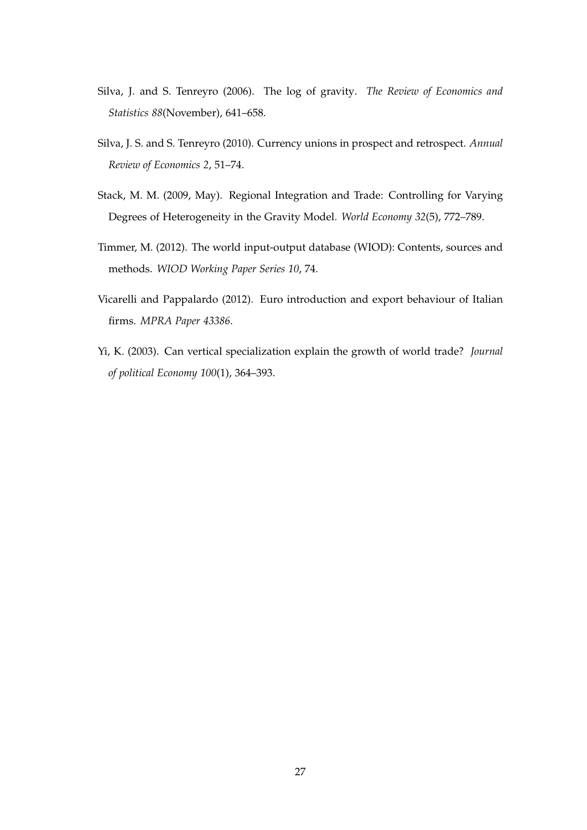- Silva, J. and S. Tenreyro (2006). The log of gravity. *The Review of Economics and Statistics 88*(November), 641–658.
- Silva, J. S. and S. Tenreyro (2010). Currency unions in prospect and retrospect. *Annual Review of Economics 2*, 51–74.
- Stack, M. M. (2009, May). Regional Integration and Trade: Controlling for Varying Degrees of Heterogeneity in the Gravity Model. *World Economy 32*(5), 772–789.
- Timmer, M. (2012). The world input-output database (WIOD): Contents, sources and methods. *WIOD Working Paper Series 10*, 74.
- Vicarelli and Pappalardo (2012). Euro introduction and export behaviour of Italian firms. *MPRA Paper 43386*.
- Yi, K. (2003). Can vertical specialization explain the growth of world trade? *Journal of political Economy 100*(1), 364–393.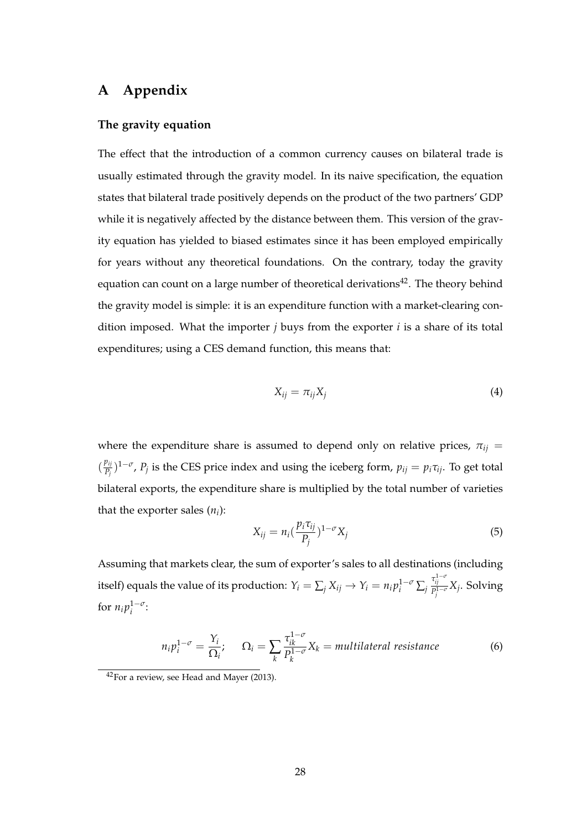### **A Appendix**

#### **The gravity equation**

The effect that the introduction of a common currency causes on bilateral trade is usually estimated through the gravity model. In its naive specification, the equation states that bilateral trade positively depends on the product of the two partners' GDP while it is negatively affected by the distance between them. This version of the gravity equation has yielded to biased estimates since it has been employed empirically for years without any theoretical foundations. On the contrary, today the gravity equation can count on a large number of theoretical derivations<sup>42</sup>. The theory behind the gravity model is simple: it is an expenditure function with a market-clearing condition imposed. What the importer *j* buys from the exporter *i* is a share of its total expenditures; using a CES demand function, this means that:

$$
X_{ij} = \pi_{ij} X_j \tag{4}
$$

where the expenditure share is assumed to depend only on relative prices,  $\pi_{ij}$  =  $\left(\frac{p_{ij}}{p_{i}}\right)$  $(P_{P_j}^{p_{ij}})^{1-\sigma}$ ,  $P_j$  is the CES price index and using the iceberg form,  $p_{ij} = p_i \tau_{ij}$ . To get total bilateral exports, the expenditure share is multiplied by the total number of varieties that the exporter sales  $(n<sub>i</sub>)$ :

$$
X_{ij} = n_i \left(\frac{p_i \tau_{ij}}{P_j}\right)^{1-\sigma} X_j \tag{5}
$$

Assuming that markets clear, the sum of exporter's sales to all destinations (including itself) equals the value of its production:  $Y_i = \sum_j X_{ij} \rightarrow Y_i = n_i p_i^{1-\sigma} \sum_j \frac{\tau_{ij}^{1-\sigma}}{p_i^{1-\sigma}}$ *P* 1−*σ j Xj* . Solving for  $n_i p_i^{1-\sigma}$ :

$$
n_i p_i^{1-\sigma} = \frac{Y_i}{\Omega_i}; \qquad \Omega_i = \sum_k \frac{\tau_{ik}^{1-\sigma}}{p_k^{1-\sigma}} X_k = \text{multilateral resistance}
$$
 (6)

<sup>42</sup>For a review, see Head and Mayer (2013).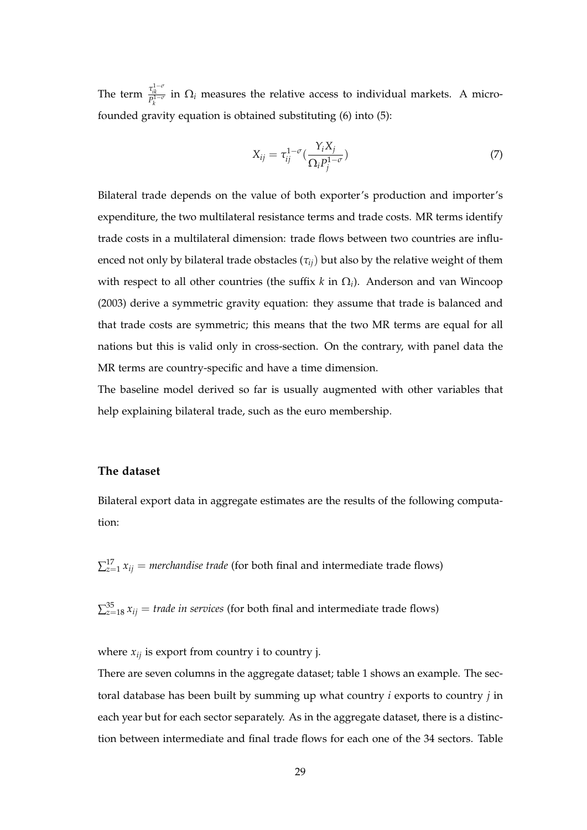The term  $\frac{\tau_{ik}^{1-\sigma}}{P_k^{1-\sigma}}$  in  $\Omega_i$  measures the relative access to individual markets. A microfounded gravity equation is obtained substituting (6) into (5):

$$
X_{ij} = \tau_{ij}^{1-\sigma}(\frac{Y_i X_j}{\Omega_i P_j^{1-\sigma}})
$$
\n(7)

Bilateral trade depends on the value of both exporter's production and importer's expenditure, the two multilateral resistance terms and trade costs. MR terms identify trade costs in a multilateral dimension: trade flows between two countries are influenced not only by bilateral trade obstacles  $(\tau_{ij})$  but also by the relative weight of them with respect to all other countries (the suffix *k* in Ω*<sup>i</sup>* ). Anderson and van Wincoop (2003) derive a symmetric gravity equation: they assume that trade is balanced and that trade costs are symmetric; this means that the two MR terms are equal for all nations but this is valid only in cross-section. On the contrary, with panel data the MR terms are country-specific and have a time dimension.

The baseline model derived so far is usually augmented with other variables that help explaining bilateral trade, such as the euro membership.

#### **The dataset**

Bilateral export data in aggregate estimates are the results of the following computation:

 $\sum_{z=1}^{17} x_{ij}$  = *merchandise trade* (for both final and intermediate trade flows)

 $\sum_{z=18}^{35} x_{ij}$  = *trade in services* (for both final and intermediate trade flows)

where  $x_{ij}$  is export from country i to country j.

There are seven columns in the aggregate dataset; table 1 shows an example. The sectoral database has been built by summing up what country *i* exports to country *j* in each year but for each sector separately. As in the aggregate dataset, there is a distinction between intermediate and final trade flows for each one of the 34 sectors. Table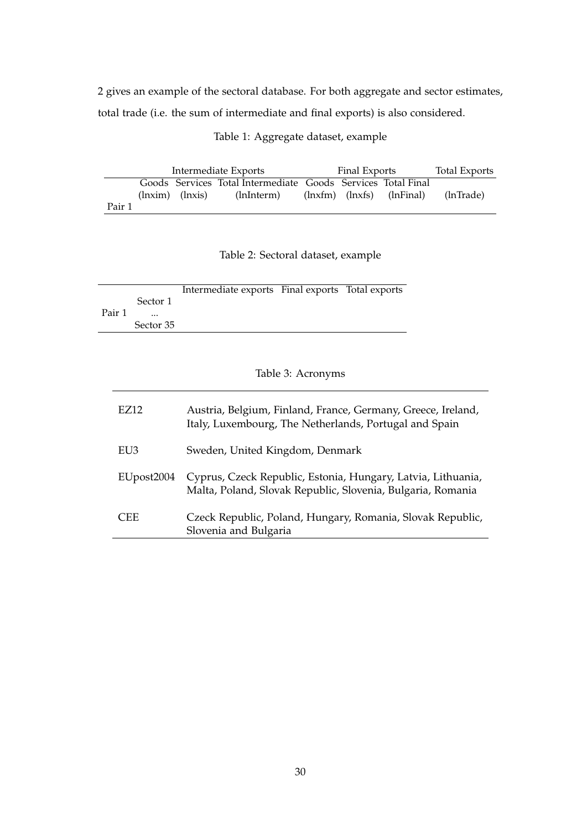2 gives an example of the sectoral database. For both aggregate and sector estimates, total trade (i.e. the sum of intermediate and final exports) is also considered.

Table 1: Aggregate dataset, example

|        |                                                     | Intermediate Exports                                         | Final Exports |                                                                                 | Total Exports |
|--------|-----------------------------------------------------|--------------------------------------------------------------|---------------|---------------------------------------------------------------------------------|---------------|
|        |                                                     | Goods Services Total Intermediate Goods Services Total Final |               |                                                                                 |               |
|        | $\langle$ lnxim $\rangle$ $\langle$ lnxis $\rangle$ | (lnInterm)                                                   |               | $\langle$ lnxfm $\rangle$ $\langle$ lnxfs $\rangle$ $\langle$ lnFinal $\rangle$ | (lnTrade)     |
| Pair 1 |                                                     |                                                              |               |                                                                                 |               |

#### Table 2: Sectoral dataset, example

|        |                        | Intermediate exports Final exports Total exports |  |
|--------|------------------------|--------------------------------------------------|--|
|        | Sector 1               |                                                  |  |
| Pair 1 | $\ddotsc$<br>Sector 35 |                                                  |  |

#### Table 3: Acronyms

| EZ12       | Austria, Belgium, Finland, France, Germany, Greece, Ireland,<br>Italy, Luxembourg, The Netherlands, Portugal and Spain      |
|------------|-----------------------------------------------------------------------------------------------------------------------------|
| EU3        | Sweden, United Kingdom, Denmark                                                                                             |
| EUpost2004 | Cyprus, Czeck Republic, Estonia, Hungary, Latvia, Lithuania,<br>Malta, Poland, Slovak Republic, Slovenia, Bulgaria, Romania |
| <b>CEE</b> | Czeck Republic, Poland, Hungary, Romania, Slovak Republic,<br>Slovenia and Bulgaria                                         |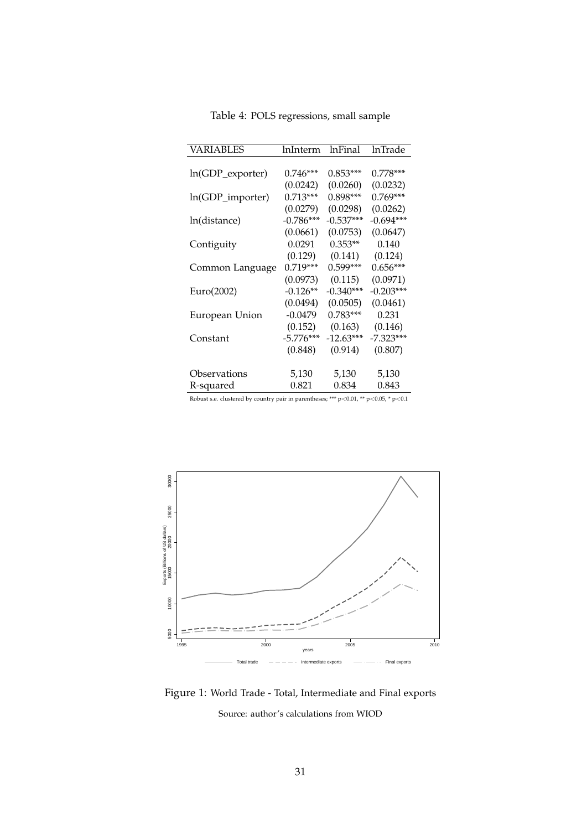| VARIABLES        | lnInterm    | lnFinal     | lnTrade     |
|------------------|-------------|-------------|-------------|
|                  |             |             |             |
| ln(GDP_exporter) | $0.746***$  | $0.853***$  | $0.778***$  |
|                  | (0.0242)    | (0.0260)    | (0.0232)    |
| ln(GDP_importer) | $0.713***$  | 0.898***    | $0.769***$  |
|                  | (0.0279)    | (0.0298)    | (0.0262)    |
| ln(distance)     | $-0.786***$ | $-0.537***$ | -0.694***   |
|                  | (0.0661)    | (0.0753)    | (0.0647)    |
| Contiguity       | 0.0291      | $0.353**$   | 0.140       |
|                  | (0.129)     | (0.141)     | (0.124)     |
| Common Language  | $0.719***$  | $0.599***$  | $0.656***$  |
|                  | (0.0973)    | (0.115)     | (0.0971)    |
| Euro(2002)       | $-0.126**$  | $-0.340***$ | $-0.203***$ |
|                  | (0.0494)    | (0.0505)    | (0.0461)    |
| European Union   | $-0.0479$   | $0.783***$  | 0.231       |
|                  | (0.152)     | (0.163)     | (0.146)     |
| Constant         | $-5.776***$ | $-12.63***$ | $-7.323***$ |
|                  | (0.848)     | (0.914)     | (0.807)     |
|                  |             |             |             |
| Observations     | 5,130       | 5,130       | 5,130       |
| R-squared        | 0.821       | 0.834       | 0.843       |

Table 4: POLS regressions, small sample



Figure 1: World Trade - Total, Intermediate and Final exports Source: author's calculations from WIOD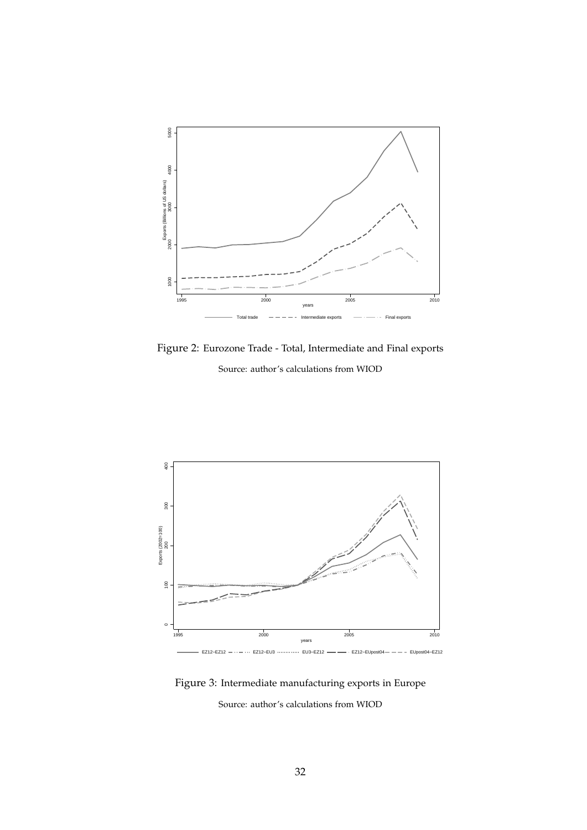

Figure 2: Eurozone Trade - Total, Intermediate and Final exports Source: author's calculations from WIOD



Figure 3: Intermediate manufacturing exports in Europe Source: author's calculations from WIOD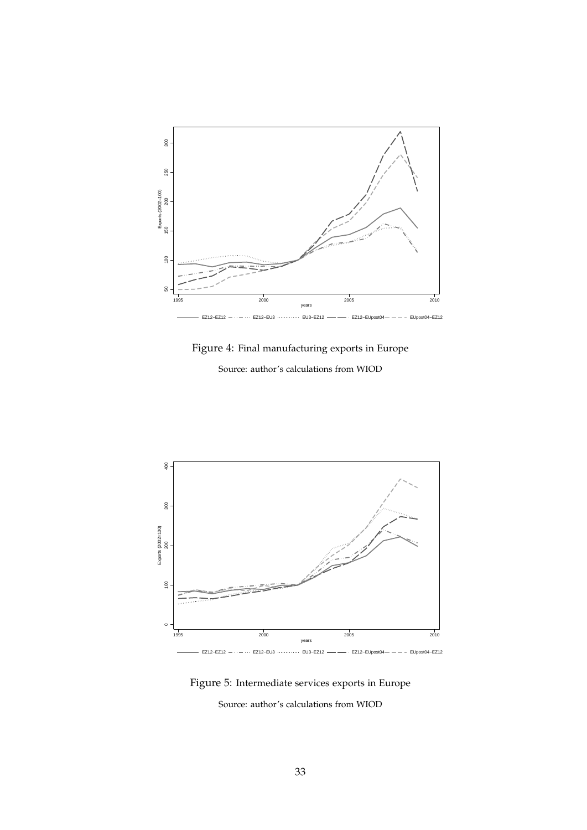

Figure 4: Final manufacturing exports in Europe

Source: author's calculations from WIOD



Figure 5: Intermediate services exports in Europe

Source: author's calculations from WIOD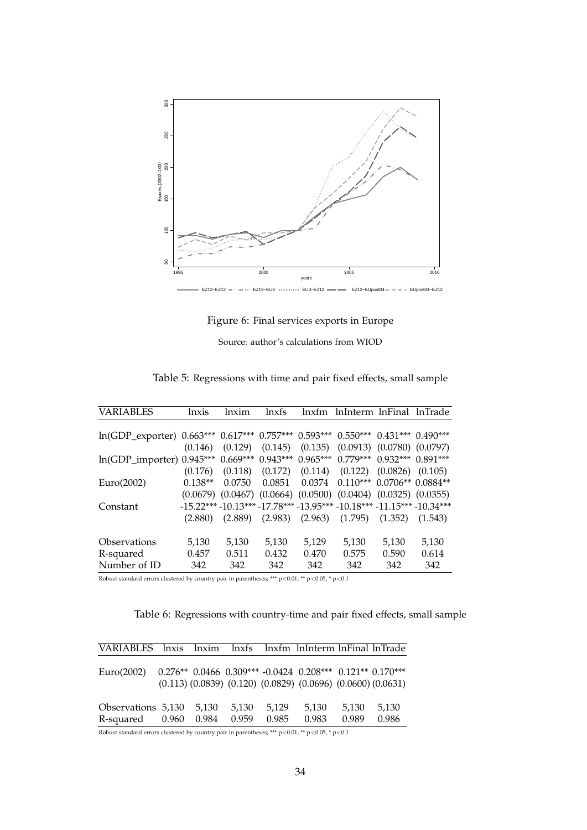

Figure 6: Final services exports in Europe

Source: author's calculations from WIOD

| VARIABLES                                                                       | <i>lnxis</i> | lnxim   | lnxfs  | $lnx$ fm | InInterm InFinal                                                             |       | -lnTrade |
|---------------------------------------------------------------------------------|--------------|---------|--------|----------|------------------------------------------------------------------------------|-------|----------|
|                                                                                 |              |         |        |          |                                                                              |       |          |
| ln(GDP_exporter) 0.663*** 0.617*** 0.757*** 0.593*** 0.550*** 0.431*** 0.490*** |              |         |        |          |                                                                              |       |          |
|                                                                                 | (0.146)      |         |        |          | $(0.129)$ $(0.145)$ $(0.135)$ $(0.0913)$ $(0.0780)$ $(0.0797)$               |       |          |
| ln(GDP_importer) 0.945*** 0.669*** 0.943*** 0.965*** 0.779*** 0.932*** 0.891*** |              |         |        |          |                                                                              |       |          |
|                                                                                 | (0.176)      |         |        |          | $(0.118)$ $(0.172)$ $(0.114)$ $(0.122)$ $(0.0826)$                           |       | (0.105)  |
| Euro(2002)                                                                      | $0.138**$    | 0.0750  | 0.0851 |          | $0.0374$ $0.110***$ $0.0706**$ $0.0884**$                                    |       |          |
|                                                                                 |              |         |        |          | $(0.0679)$ $(0.0467)$ $(0.0664)$ $(0.0500)$ $(0.0404)$ $(0.0325)$ $(0.0355)$ |       |          |
| Constant                                                                        |              |         |        |          | $-15.22***-10.13***-17.78***-13.95***-10.18***-11.15***-10.34***$            |       |          |
|                                                                                 | (2.880)      | (2.889) |        |          | $(2.983)$ $(2.963)$ $(1.795)$ $(1.352)$                                      |       | (1.543)  |
|                                                                                 |              |         |        |          |                                                                              |       |          |
| <i><b>Observations</b></i>                                                      | 5,130        | 5,130   | 5,130  | 5,129    | 5,130                                                                        | 5,130 | 5,130    |
| R-squared                                                                       | 0.457        | 0.511   | 0.432  | 0.470    | 0.575                                                                        | 0.590 | 0.614    |
| Number of ID                                                                    | 342          | 342     | 342    | 342      | 342                                                                          | 342   | 342      |

Table 5: Regressions with time and pair fixed effects, small sample

Robust standard errors clustered by country pair in parentheses; \*\*\* p<0.01, \*\* p<0.05, \* p<0.1

Table 6: Regressions with country-time and pair fixed effects, small sample

| VARIABLES lnxis                 |       |                |                |                | lnxim lnxfs lnxfm lnInterm lnFinal lnTrade                                                                                                |                |                |
|---------------------------------|-------|----------------|----------------|----------------|-------------------------------------------------------------------------------------------------------------------------------------------|----------------|----------------|
| Euro(2002)                      |       |                |                |                | $0.276**$ 0.0466 0.309*** -0.0424 0.208*** 0.121** 0.170***<br>$(0.113)$ $(0.0839)$ $(0.120)$ $(0.0829)$ $(0.0696)$ $(0.0600)$ $(0.0631)$ |                |                |
| Observations 5,130<br>R-squared | 0.960 | 5,130<br>0.984 | 5.130<br>0.959 | 5.129<br>0.985 | 5,130<br>0.983                                                                                                                            | 5.130<br>0.989 | 5,130<br>0.986 |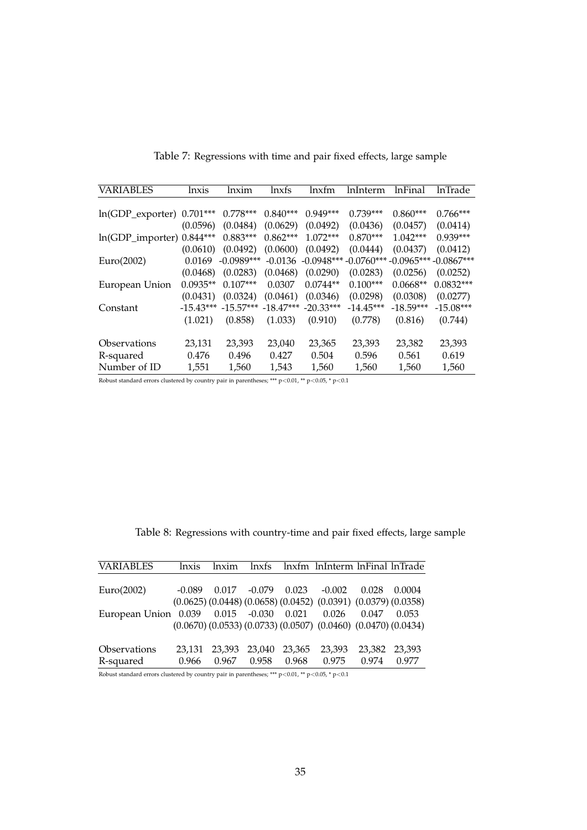| <b>VARIABLES</b>          | lnxis       | lnxim        | lnxfs       | lnxfm        | lnInterm     | lnFinal      | lnTrade      |
|---------------------------|-------------|--------------|-------------|--------------|--------------|--------------|--------------|
|                           |             |              |             |              |              |              |              |
| $ln(GDP\_expert)$         | $0.701***$  | $0.778***$   | $0.840***$  | $0.949***$   | $0.739***$   | $0.860***$   | $0.766***$   |
|                           | (0.0596)    | (0.0484)     | (0.0629)    | (0.0492)     | (0.0436)     | (0.0457)     | (0.0414)     |
| ln(GDP_importer) 0.844*** |             | $0.883***$   | $0.862***$  | $1.072***$   | $0.870***$   | $1.042***$   | $0.939***$   |
|                           | (0.0610)    | (0.0492)     | (0.0600)    | (0.0492)     | (0.0444)     | (0.0437)     | (0.0412)     |
| Euro(2002)                | 0.0169      | $-0.0989***$ | $-0.0136$   | $-0.0948***$ | $-0.0760***$ | $-0.0965***$ | $-0.0867***$ |
|                           | (0.0468)    | (0.0283)     | (0.0468)    | (0.0290)     | (0.0283)     | (0.0256)     | (0.0252)     |
| European Union            | $0.0935**$  | $0.107***$   | 0.0307      | $0.0744**$   | $0.100***$   | $0.0668**$   | $0.0832***$  |
|                           | (0.0431)    | (0.0324)     | (0.0461)    | (0.0346)     | (0.0298)     | (0.0308)     | (0.0277)     |
| Constant                  | $-15.43***$ | $-15.57***$  | $-18.47***$ | $-20.33***$  | $-14.45***$  | $-18.59***$  | $-15.08***$  |
|                           | (1.021)     | (0.858)      | (1.033)     | (0.910)      | (0.778)      | (0.816)      | (0.744)      |
|                           |             |              |             |              |              |              |              |
| Observations              | 23,131      | 23,393       | 23,040      | 23,365       | 23,393       | 23,382       | 23,393       |
| R-squared                 | 0.476       | 0.496        | 0.427       | 0.504        | 0.596        | 0.561        | 0.619        |
| Number of ID              | 1,551       | 1,560        | 1,543       | 1,560        | 1,560        | 1,560        | 1,560        |

Table 7: Regressions with time and pair fixed effects, large sample

Robust standard errors clustered by country pair in parentheses; \*\*\* p<0.01, \*\* p<0.05, \* p<0.1

| Table 8: Regressions with country-time and pair fixed effects, large sample |  |  |  |
|-----------------------------------------------------------------------------|--|--|--|
|-----------------------------------------------------------------------------|--|--|--|

| lnxis    | lnxim  | lnxfs  |          |                                                  |        |                                                                                                                                                                                                |
|----------|--------|--------|----------|--------------------------------------------------|--------|------------------------------------------------------------------------------------------------------------------------------------------------------------------------------------------------|
|          |        |        |          |                                                  |        |                                                                                                                                                                                                |
| $-0.089$ |        |        |          | $-0.002$                                         | 0.028  | 0.0004                                                                                                                                                                                         |
|          |        |        |          |                                                  |        |                                                                                                                                                                                                |
|          |        |        |          | 0.026                                            | 0.047  | 0.053                                                                                                                                                                                          |
|          |        |        |          |                                                  |        |                                                                                                                                                                                                |
|          |        |        |          |                                                  |        |                                                                                                                                                                                                |
| 23.131   | 23.393 | 23,040 | 23.365   | 23,393                                           | 23,382 | 23,393                                                                                                                                                                                         |
| 0.966    | 0.967  | 0.958  | 0.968    | 0.975                                            | 0.974  | 0.977                                                                                                                                                                                          |
|          |        | 0.017  | $-0.079$ | 0.023<br>European Union 0.039 0.015 -0.030 0.021 |        | lnxfm lnInterm lnFinal lnTrade<br>$(0.0625)$ $(0.0448)$ $(0.0658)$ $(0.0452)$ $(0.0391)$ $(0.0379)$ $(0.0358)$<br>$(0.0670)$ $(0.0533)$ $(0.0733)$ $(0.0507)$ $(0.0460)$ $(0.0470)$ $(0.0434)$ |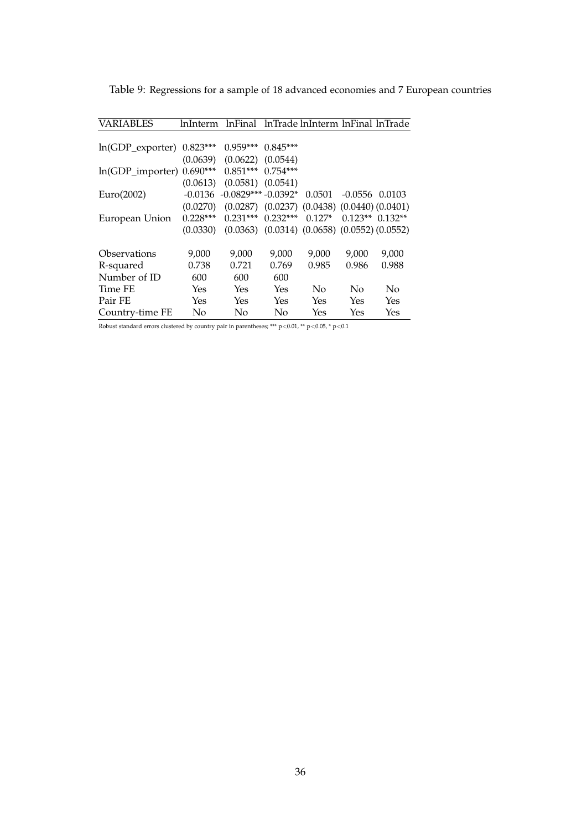| VARIABLES           | lnInterm   | lnFinal               |            | lnTrade lnInterm lnFinal lnTrade                       |                    |           |
|---------------------|------------|-----------------------|------------|--------------------------------------------------------|--------------------|-----------|
|                     |            |                       |            |                                                        |                    |           |
| $ln(GDP\_expert)$   | $0.823***$ | $0.959***$            | $0.845***$ |                                                        |                    |           |
|                     | (0.0639)   | (0.0622)              | (0.0544)   |                                                        |                    |           |
| $ln(GDP\_importer)$ | $0.690***$ | $0.851***$            | $0.754***$ |                                                        |                    |           |
|                     | (0.0613)   | $(0.0581)$ $(0.0541)$ |            |                                                        |                    |           |
| Euro(2002)          | $-0.0136$  | $-0.0829***-0.0392*$  |            | 0.0501                                                 | $-0.0556$ $0.0103$ |           |
|                     | (0.0270)   |                       |            | $(0.0287)$ $(0.0237)$ $(0.0438)$ $(0.0440)$ $(0.0401)$ |                    |           |
| European Union      | $0.228***$ | $0.231***$            | $0.232***$ | $0.127*$                                               | $0.123**$          | $0.132**$ |
|                     | (0.0330)   |                       |            | $(0.0363)$ $(0.0314)$ $(0.0658)$ $(0.0552)$ $(0.0552)$ |                    |           |
|                     |            |                       |            |                                                        |                    |           |
| Observations        | 9,000      | 9,000                 | 9,000      | 9.000                                                  | 9.000              | 9,000     |
| R-squared           | 0.738      | 0.721                 | 0.769      | 0.985                                                  | 0.986              | 0.988     |
| Number of ID        | 600        | 600                   | 600        |                                                        |                    |           |
| Time FE             | Yes        | Yes                   | Yes        | No                                                     | No                 | No        |
| Pair FE             | Yes        | Yes                   | Yes        | Yes                                                    | Yes                | Yes       |
| Country-time FE     | No         | No                    | No         | Yes                                                    | Yes                | Yes       |

Table 9: Regressions for a sample of 18 advanced economies and 7 European countries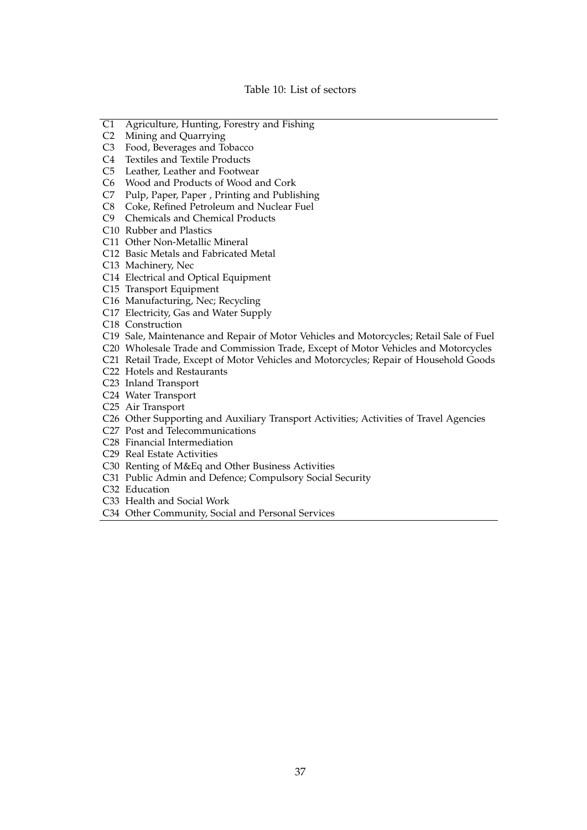#### Table 10: List of sectors

- C1 Agriculture, Hunting, Forestry and Fishing
- C2 Mining and Quarrying
- C3 Food, Beverages and Tobacco
- C4 Textiles and Textile Products
- C5 Leather, Leather and Footwear
- C6 Wood and Products of Wood and Cork
- C7 Pulp, Paper, Paper , Printing and Publishing
- C8 Coke, Refined Petroleum and Nuclear Fuel
- C9 Chemicals and Chemical Products
- C10 Rubber and Plastics
- C11 Other Non-Metallic Mineral
- C12 Basic Metals and Fabricated Metal
- C13 Machinery, Nec
- C14 Electrical and Optical Equipment
- C15 Transport Equipment
- C16 Manufacturing, Nec; Recycling
- C17 Electricity, Gas and Water Supply
- C18 Construction
- C19 Sale, Maintenance and Repair of Motor Vehicles and Motorcycles; Retail Sale of Fuel
- C20 Wholesale Trade and Commission Trade, Except of Motor Vehicles and Motorcycles
- C21 Retail Trade, Except of Motor Vehicles and Motorcycles; Repair of Household Goods
- C22 Hotels and Restaurants
- C23 Inland Transport
- C24 Water Transport
- C25 Air Transport
- C26 Other Supporting and Auxiliary Transport Activities; Activities of Travel Agencies
- C27 Post and Telecommunications
- C28 Financial Intermediation
- C29 Real Estate Activities
- C30 Renting of M&Eq and Other Business Activities
- C31 Public Admin and Defence; Compulsory Social Security
- C32 Education
- C33 Health and Social Work
- C34 Other Community, Social and Personal Services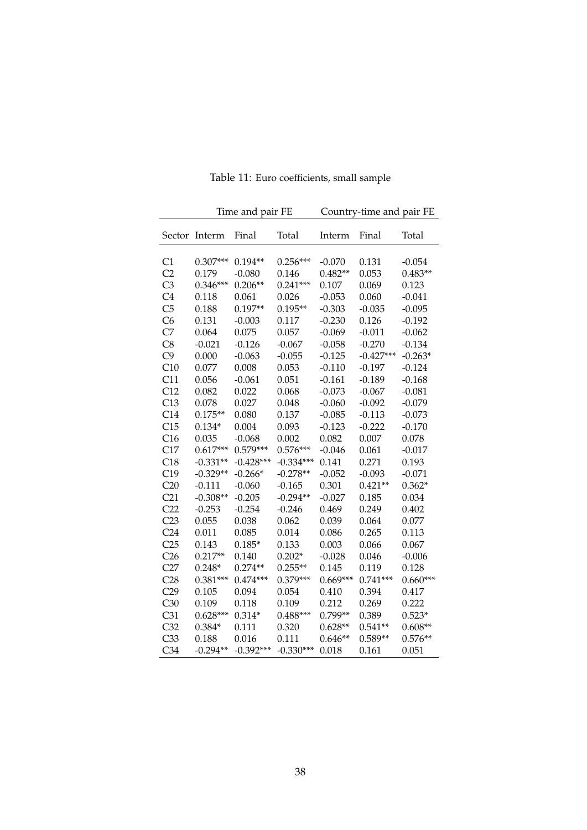|                 |            | Time and pair FE | Country-time and pair FE |            |             |            |
|-----------------|------------|------------------|--------------------------|------------|-------------|------------|
| Sector          | Interm     | Final            | Total                    | Interm     | Final       | Total      |
| C1              | $0.307***$ | $0.194**$        | $0.256***$               | $-0.070$   | 0.131       | $-0.054$   |
| C <sub>2</sub>  | 0.179      | $-0.080$         | 0.146                    | $0.482**$  | 0.053       | $0.483**$  |
| C <sub>3</sub>  | $0.346***$ | $0.206**$        | $0.241***$               | 0.107      | 0.069       | 0.123      |
| C <sub>4</sub>  | 0.118      | 0.061            | 0.026                    | $-0.053$   | 0.060       | $-0.041$   |
| C <sub>5</sub>  | 0.188      | $0.197**$        | $0.195**$                | $-0.303$   | $-0.035$    | $-0.095$   |
| C6              | 0.131      | $-0.003$         | 0.117                    | $-0.230$   | 0.126       | $-0.192$   |
| C <sub>7</sub>  | 0.064      | 0.075            | 0.057                    | $-0.069$   | $-0.011$    | $-0.062$   |
| C8              | $-0.021$   | $-0.126$         | $-0.067$                 | $-0.058$   | $-0.270$    | $-0.134$   |
| C9              | 0.000      | $-0.063$         | $-0.055$                 | $-0.125$   | $-0.427***$ | $-0.263*$  |
| C10             | 0.077      | 0.008            | 0.053                    | $-0.110$   | $-0.197$    | $-0.124$   |
| C11             | 0.056      | $-0.061$         | 0.051                    | $-0.161$   | $-0.189$    | $-0.168$   |
| C12             | 0.082      | 0.022            | 0.068                    | $-0.073$   | $-0.067$    | $-0.081$   |
| C13             | 0.078      | 0.027            | 0.048                    | $-0.060$   | $-0.092$    | $-0.079$   |
| C14             | $0.175**$  | 0.080            | 0.137                    | $-0.085$   | $-0.113$    | $-0.073$   |
| C15             | $0.134*$   | 0.004            | 0.093                    | $-0.123$   | $-0.222$    | $-0.170$   |
| C16             | 0.035      | $-0.068$         | 0.002                    | 0.082      | 0.007       | 0.078      |
| C17             | $0.617***$ | $0.579***$       | $0.576***$               | $-0.046$   | 0.061       | $-0.017$   |
| C18             | $-0.331**$ | $-0.428***$      | $-0.334***$              | 0.141      | 0.271       | 0.193      |
| C19             | $-0.329**$ | $-0.266*$        | $-0.278**$               | $-0.052$   | $-0.093$    | $-0.071$   |
| C20             | $-0.111$   | $-0.060$         | $-0.165$                 | 0.301      | $0.421**$   | $0.362*$   |
| C <sub>21</sub> | $-0.308**$ | $-0.205$         | $-0.294**$               | $-0.027$   | 0.185       | 0.034      |
| C <sub>22</sub> | $-0.253$   | $-0.254$         | $-0.246$                 | 0.469      | 0.249       | 0.402      |
| C23             | 0.055      | 0.038            | 0.062                    | 0.039      | 0.064       | 0.077      |
| C <sub>24</sub> | 0.011      | 0.085            | 0.014                    | 0.086      | 0.265       | 0.113      |
| C25             | 0.143      | $0.185*$         | 0.133                    | 0.003      | 0.066       | 0.067      |
| C <sub>26</sub> | $0.217**$  | 0.140            | $0.202*$                 | $-0.028$   | 0.046       | $-0.006$   |
| C27             | $0.248*$   | $0.274**$        | $0.255**$                | 0.145      | 0.119       | 0.128      |
| C28             | $0.381***$ | $0.474***$       | $0.379***$               | $0.669***$ | $0.741***$  | $0.660***$ |
| C29             | 0.105      | 0.094            | 0.054                    | 0.410      | 0.394       | 0.417      |
| C30             | 0.109      | 0.118            | 0.109                    | 0.212      | 0.269       | 0.222      |
| C <sub>31</sub> | $0.628***$ | $0.314*$         | $0.488***$               | $0.799**$  | 0.389       | $0.523*$   |
| C32             | $0.384*$   | 0.111            | 0.320                    | $0.628**$  | $0.541**$   | $0.608**$  |
| C <sub>33</sub> | 0.188      | 0.016            | 0.111                    | $0.646**$  | $0.589**$   | $0.576**$  |
| C <sub>34</sub> | $-0.294**$ | $-0.392***$      | $-0.330***$              | 0.018      | 0.161       | 0.051      |

Table 11: Euro coefficients, small sample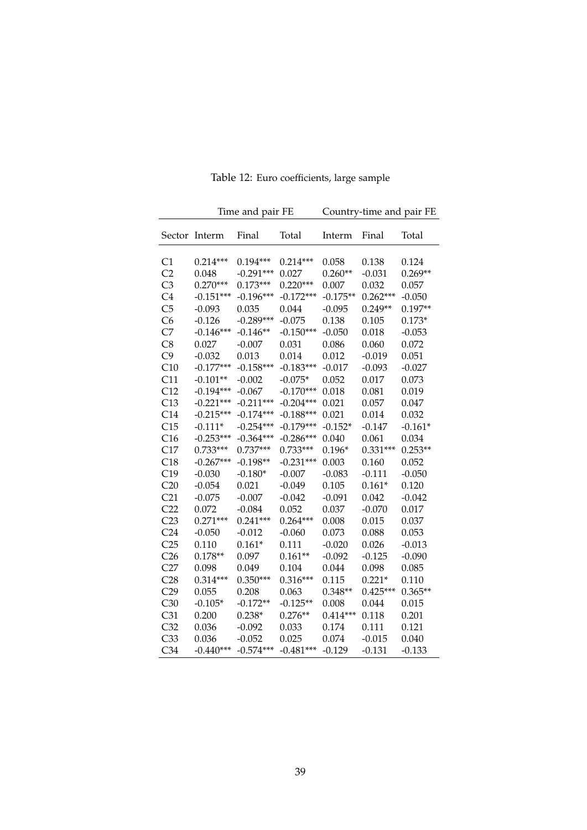|                 | Time and pair FE |             |             |            | Country-time and pair FE |           |  |  |
|-----------------|------------------|-------------|-------------|------------|--------------------------|-----------|--|--|
| Sector          | Interm           | Final       | Total       | Interm     | Final                    | Total     |  |  |
| C1              | $0.214***$       | $0.194***$  | $0.214***$  | 0.058      | 0.138                    | 0.124     |  |  |
| C <sub>2</sub>  | 0.048            | $-0.291***$ | 0.027       | $0.260**$  | $-0.031$                 | $0.269**$ |  |  |
| C <sub>3</sub>  | $0.270***$       | $0.173***$  | $0.220***$  | 0.007      | 0.032                    | 0.057     |  |  |
| C <sub>4</sub>  | $-0.151***$      | $-0.196***$ | $-0.172***$ | $-0.175**$ | $0.262***$               | $-0.050$  |  |  |
| C <sub>5</sub>  | $-0.093$         | 0.035       | 0.044       | $-0.095$   | $0.249**$                | $0.197**$ |  |  |
| C6              | $-0.126$         | $-0.289***$ | $-0.075$    | 0.138      | 0.105                    | $0.173*$  |  |  |
| C7              | $-0.146***$      | $-0.146**$  | $-0.150***$ | $-0.050$   | 0.018                    | $-0.053$  |  |  |
| C8              | 0.027            | $-0.007$    | 0.031       | 0.086      | 0.060                    | 0.072     |  |  |
| C9              | $-0.032$         | 0.013       | 0.014       | 0.012      | $-0.019$                 | 0.051     |  |  |
| C10             | $-0.177***$      | $-0.158***$ | $-0.183***$ | $-0.017$   | $-0.093$                 | $-0.027$  |  |  |
| C11             | $-0.101**$       | $-0.002$    | $-0.075*$   | 0.052      | 0.017                    | 0.073     |  |  |
| C12             | $-0.194***$      | $-0.067$    | $-0.170***$ | 0.018      | 0.081                    | 0.019     |  |  |
| C13             | $-0.221***$      | $-0.211***$ | $-0.204***$ | 0.021      | 0.057                    | 0.047     |  |  |
| C14             | $-0.215***$      | $-0.174***$ | $-0.188***$ | 0.021      | 0.014                    | 0.032     |  |  |
| C15             | $-0.111*$        | $-0.254***$ | $-0.179***$ | $-0.152*$  | $-0.147$                 | $-0.161*$ |  |  |
| C16             | $-0.253***$      | $-0.364***$ | $-0.286***$ | 0.040      | 0.061                    | 0.034     |  |  |
| C17             | $0.733***$       | $0.737***$  | $0.733***$  | $0.196*$   | $0.331***$               | $0.253**$ |  |  |
| C18             | $-0.267***$      | $-0.198**$  | $-0.231***$ | 0.003      | 0.160                    | 0.052     |  |  |
| C19             | $-0.030$         | $-0.180*$   | $-0.007$    | $-0.083$   | $-0.111$                 | $-0.050$  |  |  |
| C20             | $-0.054$         | 0.021       | $-0.049$    | 0.105      | $0.161*$                 | 0.120     |  |  |
| C <sub>21</sub> | $-0.075$         | $-0.007$    | $-0.042$    | $-0.091$   | 0.042                    | $-0.042$  |  |  |
| C <sub>22</sub> | 0.072            | $-0.084$    | 0.052       | 0.037      | $-0.070$                 | 0.017     |  |  |
| C <sub>23</sub> | $0.271***$       | $0.241***$  | $0.264***$  | 0.008      | 0.015                    | 0.037     |  |  |
| C <sub>24</sub> | $-0.050$         | $-0.012$    | $-0.060$    | 0.073      | 0.088                    | 0.053     |  |  |
| C25             | 0.110            | $0.161*$    | 0.111       | $-0.020$   | 0.026                    | $-0.013$  |  |  |
| C <sub>26</sub> | $0.178**$        | 0.097       | $0.161**$   | $-0.092$   | $-0.125$                 | $-0.090$  |  |  |
| C27             | 0.098            | 0.049       | 0.104       | 0.044      | 0.098                    | 0.085     |  |  |
| C28             | $0.314***$       | $0.350***$  | $0.316***$  | 0.115      | $0.221*$                 | 0.110     |  |  |
| C <sub>29</sub> | 0.055            | 0.208       | 0.063       | $0.348**$  | $0.425***$               | $0.365**$ |  |  |
| C30             | $-0.105*$        | $-0.172**$  | $-0.125**$  | 0.008      | 0.044                    | 0.015     |  |  |
| C31             | 0.200            | $0.238*$    | $0.276**$   | $0.414***$ | 0.118                    | 0.201     |  |  |
| C32             | 0.036            | $-0.092$    | 0.033       | 0.174      | 0.111                    | 0.121     |  |  |
| C <sub>33</sub> | 0.036            | $-0.052$    | 0.025       | 0.074      | $-0.015$                 | 0.040     |  |  |
| C <sub>34</sub> | $-0.440***$      | $-0.574***$ | $-0.481***$ | $-0.129$   | $-0.131$                 | $-0.133$  |  |  |

Table 12: Euro coefficients, large sample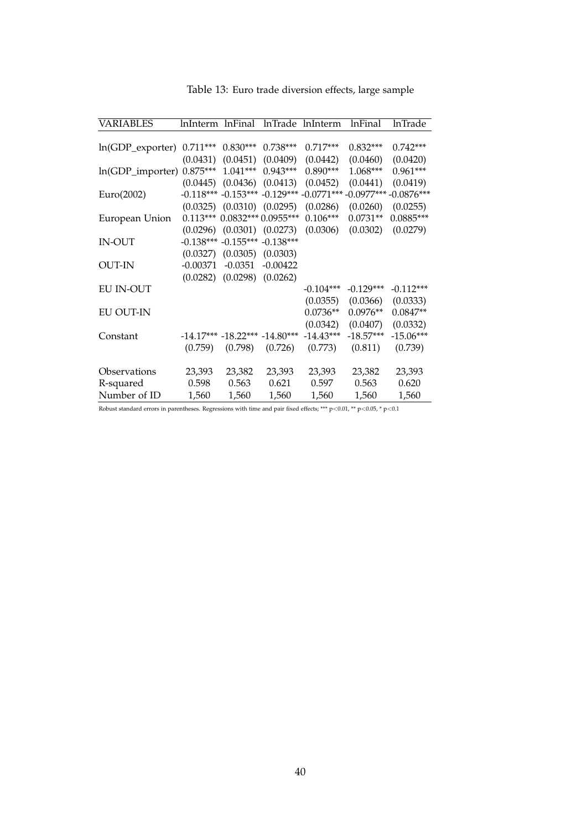| <b>VARIABLES</b> | InInterm InFinal |                                  |                                     | InTrade InInterm                                                           | <b>lnFinal</b> | <b>lnTrade</b> |
|------------------|------------------|----------------------------------|-------------------------------------|----------------------------------------------------------------------------|----------------|----------------|
|                  |                  |                                  |                                     |                                                                            |                |                |
| ln(GDP_exporter) | $0.711***$       | $0.830***$                       | $0.738***$                          | $0.717***$                                                                 | $0.832***$     | $0.742***$     |
|                  | (0.0431)         | (0.0451)                         | (0.0409)                            | (0.0442)                                                                   | (0.0460)       | (0.0420)       |
| ln(GDP_importer) | $0.875***$       | $1.041***$                       | $0.943***$                          | $0.890***$                                                                 | $1.068***$     | $0.961***$     |
|                  |                  |                                  | $(0.0445)$ $(0.0436)$ $(0.0413)$    | (0.0452)                                                                   | (0.0441)       | (0.0419)       |
| Euro(2002)       |                  |                                  |                                     | $-0.118***$ $-0.153***$ $-0.129***$ $-0.0771***$ $-0.0977***$ $-0.0876***$ |                |                |
|                  |                  |                                  | $(0.0325)$ $(0.0310)$ $(0.0295)$    | (0.0286)                                                                   | (0.0260)       | (0.0255)       |
| European Union   |                  |                                  | $0.113***0.0832***0.0955***$        | $0.106***$                                                                 | $0.0731**$     | $0.0885***$    |
|                  |                  |                                  | $(0.0296)$ $(0.0301)$ $(0.0273)$    | (0.0306)                                                                   | (0.0302)       | (0.0279)       |
| <b>IN-OUT</b>    |                  |                                  | $-0.138***$ $-0.155***$ $-0.138***$ |                                                                            |                |                |
|                  |                  | $(0.0327)$ $(0.0305)$ $(0.0303)$ |                                     |                                                                            |                |                |
| <b>OUT-IN</b>    | $-0.00371$       | $-0.0351$                        | $-0.00422$                          |                                                                            |                |                |
|                  |                  | $(0.0282)$ $(0.0298)$ $(0.0262)$ |                                     |                                                                            |                |                |
| <b>EU IN-OUT</b> |                  |                                  |                                     | $-0.104***$                                                                | $-0.129***$    | $-0.112***$    |
|                  |                  |                                  |                                     | (0.0355)                                                                   | (0.0366)       | (0.0333)       |
| <b>EU OUT-IN</b> |                  |                                  |                                     | $0.0736**$                                                                 | $0.0976**$     | $0.0847**$     |
|                  |                  |                                  |                                     | (0.0342)                                                                   | (0.0407)       | (0.0332)       |
| Constant         |                  |                                  | $-14.17***$ $-18.22***$ $-14.80***$ | $-14.43***$                                                                | $-18.57***$    | $-15.06***$    |
|                  | (0.759)          | (0.798)                          | (0.726)                             | (0.773)                                                                    | (0.811)        | (0.739)        |
|                  |                  |                                  |                                     |                                                                            |                |                |
| Observations     | 23,393           | 23,382                           | 23,393                              | 23,393                                                                     | 23,382         | 23,393         |
| R-squared        | 0.598            | 0.563                            | 0.621                               | 0.597                                                                      | 0.563          | 0.620          |
| Number of ID     | 1,560            | 1,560                            | 1,560                               | 1,560                                                                      | 1,560          | 1,560          |
|                  |                  |                                  |                                     |                                                                            |                |                |

Table 13: Euro trade diversion effects, large sample

Robust standard errors in parentheses. Regressions with time and pair fixed effects; \*\*\*  $p$  <0.01, \*\*  $p$  <0.05, \*  $p$  <0.1